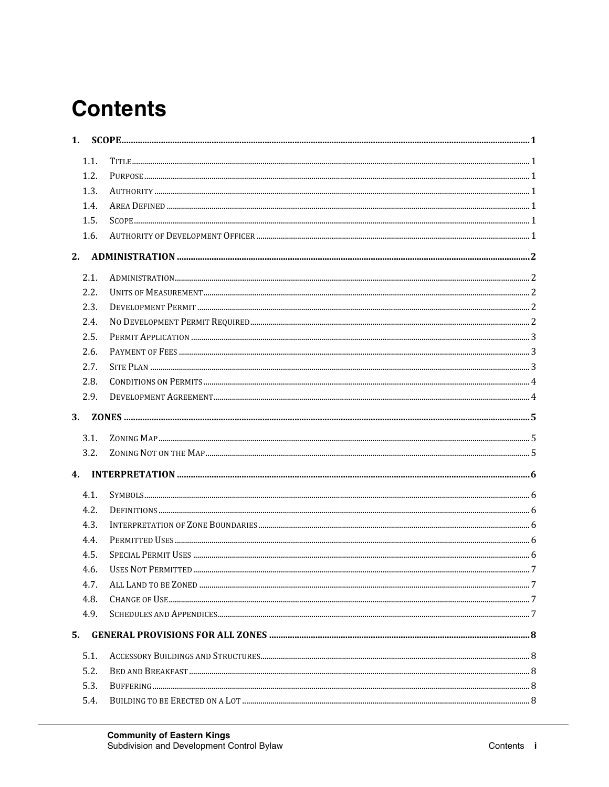# **Contents**

| 1.             |      |  |
|----------------|------|--|
|                | 1.1. |  |
|                | 1.2. |  |
|                | 1.3. |  |
|                | 1.4. |  |
|                | 1.5. |  |
|                | 1.6. |  |
| 2.             |      |  |
|                | 2.1. |  |
|                | 2.2. |  |
|                | 2.3. |  |
|                | 2.4. |  |
|                | 2.5. |  |
|                | 2.6. |  |
|                | 2.7. |  |
|                | 2.8. |  |
|                | 2.9. |  |
| 3.             |      |  |
|                | 3.1. |  |
|                | 3.2. |  |
| 4 <sub>1</sub> |      |  |
|                | 4.1. |  |
|                | 4.2. |  |
|                | 4.3. |  |
|                | 4.4. |  |
|                | 4.5. |  |
|                | 4.6. |  |
|                | 4.7. |  |
|                | 4.8. |  |
|                | 4.9. |  |
| 5.             |      |  |
|                | 5.1. |  |
|                | 5.2. |  |
|                | 5.3. |  |
|                | 5.4. |  |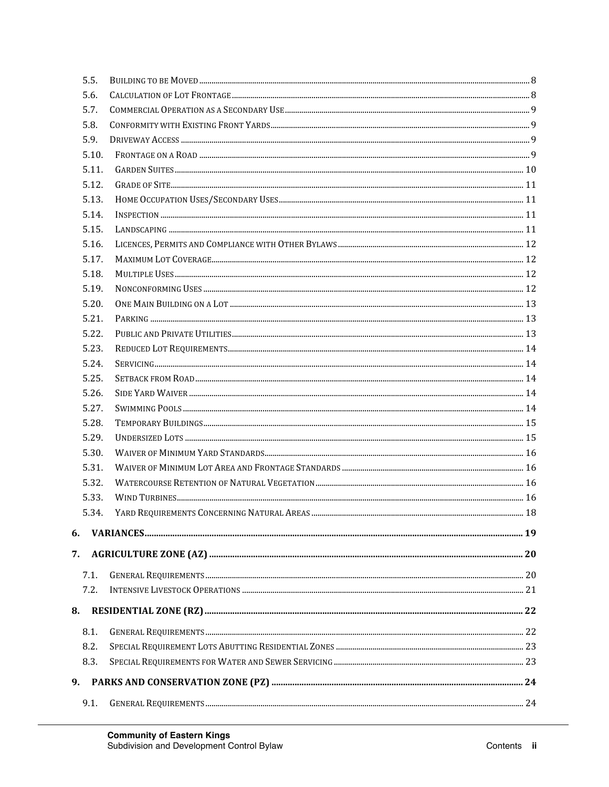|    | 5.5.  |  |
|----|-------|--|
|    | 5.6.  |  |
|    | 5.7.  |  |
|    | 5.8.  |  |
|    | 5.9.  |  |
|    | 5.10. |  |
|    | 5.11. |  |
|    | 5.12. |  |
|    | 5.13. |  |
|    | 5.14. |  |
|    | 5.15. |  |
|    | 5.16. |  |
|    | 5.17. |  |
|    | 5.18. |  |
|    | 5.19. |  |
|    | 5.20. |  |
|    | 5.21. |  |
|    | 5.22. |  |
|    | 5.23. |  |
|    | 5.24. |  |
|    | 5.25. |  |
|    | 5.26. |  |
|    | 5.27. |  |
|    | 5.28. |  |
|    | 5.29. |  |
|    | 5.30. |  |
|    | 5.31. |  |
|    | 5.32. |  |
|    | 5.33. |  |
|    | 5.34. |  |
| 6. |       |  |
| 7. |       |  |
|    |       |  |
|    | 7.1.  |  |
|    | 7.2.  |  |
| 8. |       |  |
|    | 8.1.  |  |
|    | 8.2.  |  |
|    | 8.3.  |  |
|    |       |  |
| 9. |       |  |
|    | 9.1.  |  |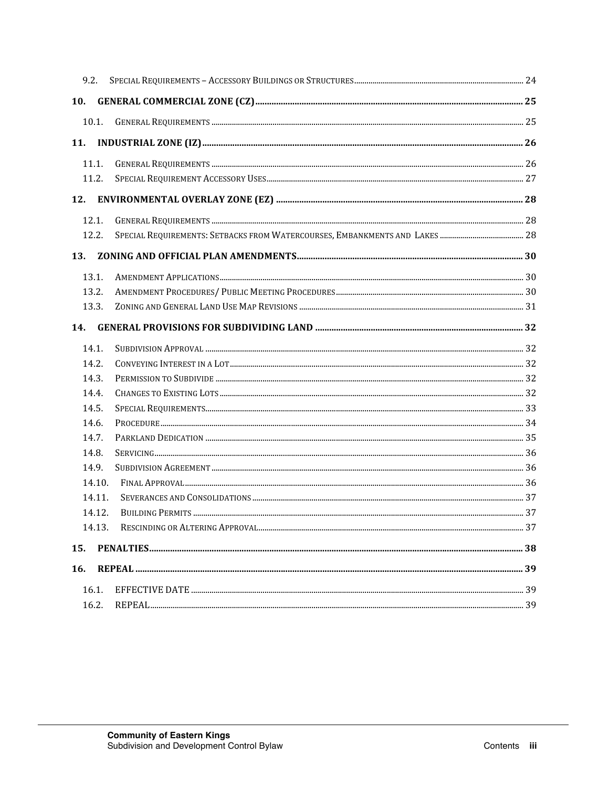|     | 9.2.   |  |
|-----|--------|--|
| 10. |        |  |
|     | 10.1.  |  |
| 11. |        |  |
|     | 11.1.  |  |
|     | 11.2.  |  |
| 12. |        |  |
|     | 12.1.  |  |
|     | 12.2.  |  |
| 13. |        |  |
|     | 13.1.  |  |
|     | 13.2.  |  |
|     | 13.3.  |  |
|     |        |  |
| 14. |        |  |
|     | 14.1.  |  |
|     | 14.2.  |  |
|     | 14.3.  |  |
|     | 14.4.  |  |
|     | 14.5.  |  |
|     | 14.6.  |  |
|     | 14.7.  |  |
|     | 14.8.  |  |
|     | 14.9.  |  |
|     | 14.10. |  |
|     | 14.11. |  |
|     | 14.12. |  |
|     | 14.13. |  |
| 15. |        |  |
| 16. |        |  |
|     | 16.1.  |  |
|     | 16.2.  |  |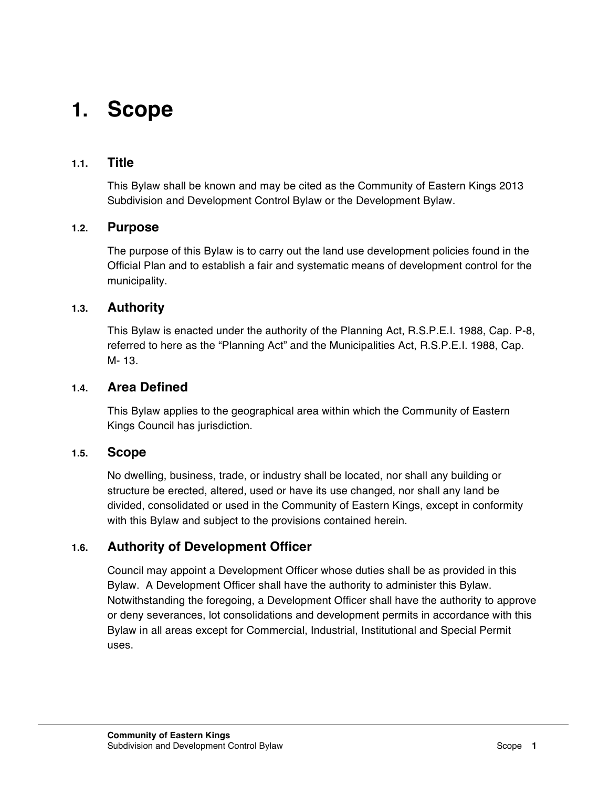# **1. Scope**

### **1.1. Title**

This Bylaw shall be known and may be cited as the Community of Eastern Kings 2013 Subdivision and Development Control Bylaw or the Development Bylaw.

### **1.2. Purpose**

The purpose of this Bylaw is to carry out the land use development policies found in the Official Plan and to establish a fair and systematic means of development control for the municipality.

### **1.3. Authority**

This Bylaw is enacted under the authority of the Planning Act, R.S.P.E.I. 1988, Cap. P-8, referred to here as the "Planning Act" and the Municipalities Act, R.S.P.E.I. 1988, Cap. M- 13.

#### **1.4. Area Defined**

This Bylaw applies to the geographical area within which the Community of Eastern Kings Council has jurisdiction.

#### **1.5. Scope**

No dwelling, business, trade, or industry shall be located, nor shall any building or structure be erected, altered, used or have its use changed, nor shall any land be divided, consolidated or used in the Community of Eastern Kings, except in conformity with this Bylaw and subject to the provisions contained herein.

### **1.6. Authority of Development Officer**

Council may appoint a Development Officer whose duties shall be as provided in this Bylaw. A Development Officer shall have the authority to administer this Bylaw. Notwithstanding the foregoing, a Development Officer shall have the authority to approve or deny severances, lot consolidations and development permits in accordance with this Bylaw in all areas except for Commercial, Industrial, Institutional and Special Permit uses.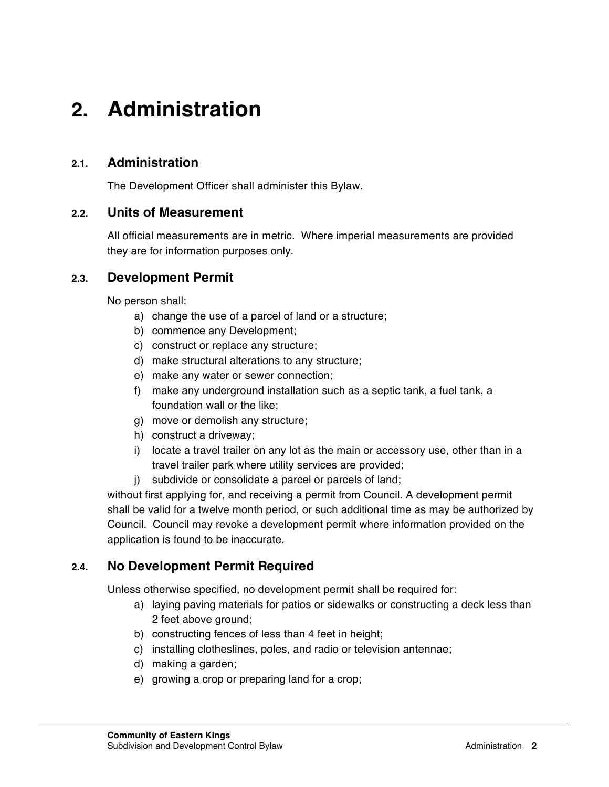# **2. Administration**

### **2.1. Administration**

The Development Officer shall administer this Bylaw.

### **2.2. Units of Measurement**

All official measurements are in metric. Where imperial measurements are provided they are for information purposes only.

### **2.3. Development Permit**

No person shall:

- a) change the use of a parcel of land or a structure;
- b) commence any Development;
- c) construct or replace any structure;
- d) make structural alterations to any structure;
- e) make any water or sewer connection;
- f) make any underground installation such as a septic tank, a fuel tank, a foundation wall or the like;
- g) move or demolish any structure;
- h) construct a driveway;
- i) locate a travel trailer on any lot as the main or accessory use, other than in a travel trailer park where utility services are provided;
- j) subdivide or consolidate a parcel or parcels of land;

without first applying for, and receiving a permit from Council. A development permit shall be valid for a twelve month period, or such additional time as may be authorized by Council. Council may revoke a development permit where information provided on the application is found to be inaccurate.

### **2.4. No Development Permit Required**

Unless otherwise specified, no development permit shall be required for:

- a) laying paving materials for patios or sidewalks or constructing a deck less than 2 feet above ground;
- b) constructing fences of less than 4 feet in height;
- c) installing clotheslines, poles, and radio or television antennae;
- d) making a garden;
- e) growing a crop or preparing land for a crop;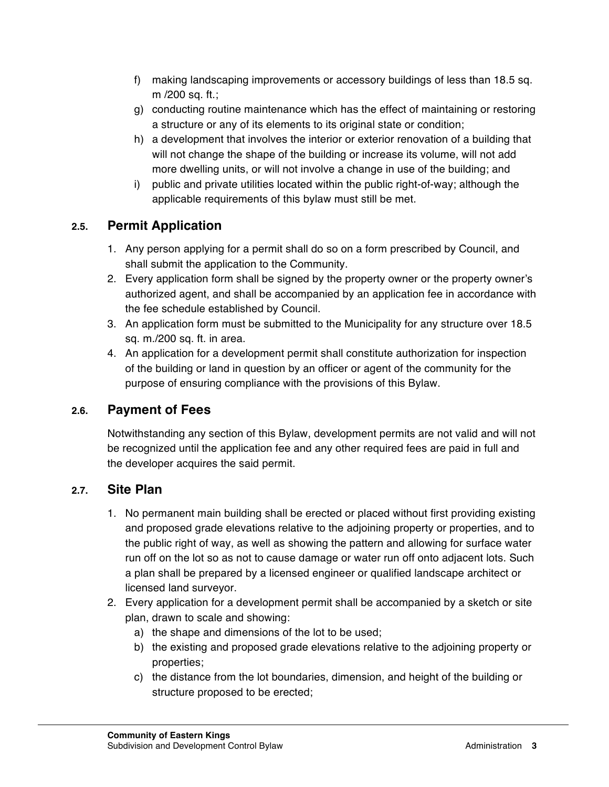- f) making landscaping improvements or accessory buildings of less than 18.5 sq. m /200 sq. ft.;
- g) conducting routine maintenance which has the effect of maintaining or restoring a structure or any of its elements to its original state or condition;
- h) a development that involves the interior or exterior renovation of a building that will not change the shape of the building or increase its volume, will not add more dwelling units, or will not involve a change in use of the building; and
- i) public and private utilities located within the public right-of-way; although the applicable requirements of this bylaw must still be met.

# **2.5. Permit Application**

- 1. Any person applying for a permit shall do so on a form prescribed by Council, and shall submit the application to the Community.
- 2. Every application form shall be signed by the property owner or the property owner's authorized agent, and shall be accompanied by an application fee in accordance with the fee schedule established by Council.
- 3. An application form must be submitted to the Municipality for any structure over 18.5 sq. m./200 sq. ft. in area.
- 4. An application for a development permit shall constitute authorization for inspection of the building or land in question by an officer or agent of the community for the purpose of ensuring compliance with the provisions of this Bylaw.

### **2.6. Payment of Fees**

Notwithstanding any section of this Bylaw, development permits are not valid and will not be recognized until the application fee and any other required fees are paid in full and the developer acquires the said permit.

### **2.7. Site Plan**

- 1. No permanent main building shall be erected or placed without first providing existing and proposed grade elevations relative to the adjoining property or properties, and to the public right of way, as well as showing the pattern and allowing for surface water run off on the lot so as not to cause damage or water run off onto adjacent lots. Such a plan shall be prepared by a licensed engineer or qualified landscape architect or licensed land surveyor.
- 2. Every application for a development permit shall be accompanied by a sketch or site plan, drawn to scale and showing:
	- a) the shape and dimensions of the lot to be used;
	- b) the existing and proposed grade elevations relative to the adjoining property or properties;
	- c) the distance from the lot boundaries, dimension, and height of the building or structure proposed to be erected;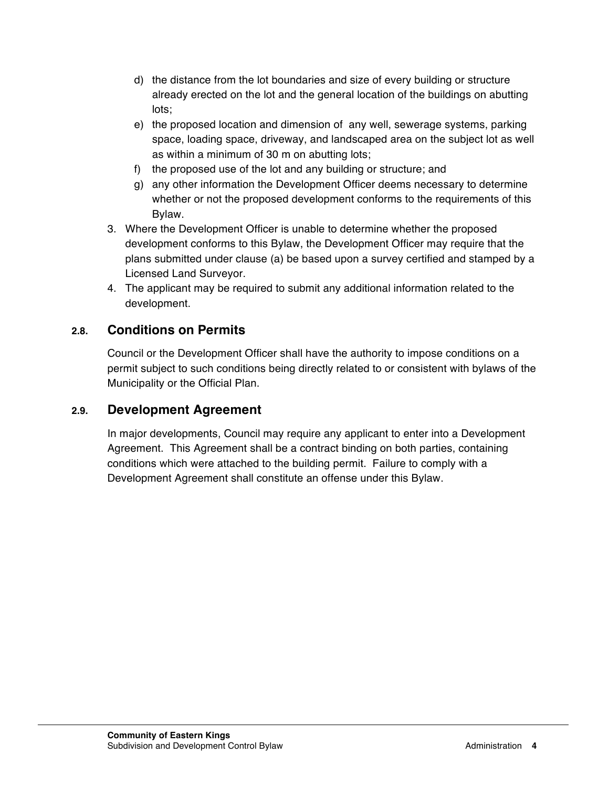- d) the distance from the lot boundaries and size of every building or structure already erected on the lot and the general location of the buildings on abutting lots;
- e) the proposed location and dimension of any well, sewerage systems, parking space, loading space, driveway, and landscaped area on the subject lot as well as within a minimum of 30 m on abutting lots;
- f) the proposed use of the lot and any building or structure; and
- g) any other information the Development Officer deems necessary to determine whether or not the proposed development conforms to the requirements of this Bylaw.
- 3. Where the Development Officer is unable to determine whether the proposed development conforms to this Bylaw, the Development Officer may require that the plans submitted under clause (a) be based upon a survey certified and stamped by a Licensed Land Surveyor.
- 4. The applicant may be required to submit any additional information related to the development.

### **2.8. Conditions on Permits**

Council or the Development Officer shall have the authority to impose conditions on a permit subject to such conditions being directly related to or consistent with bylaws of the Municipality or the Official Plan.

### **2.9. Development Agreement**

In major developments, Council may require any applicant to enter into a Development Agreement. This Agreement shall be a contract binding on both parties, containing conditions which were attached to the building permit. Failure to comply with a Development Agreement shall constitute an offense under this Bylaw.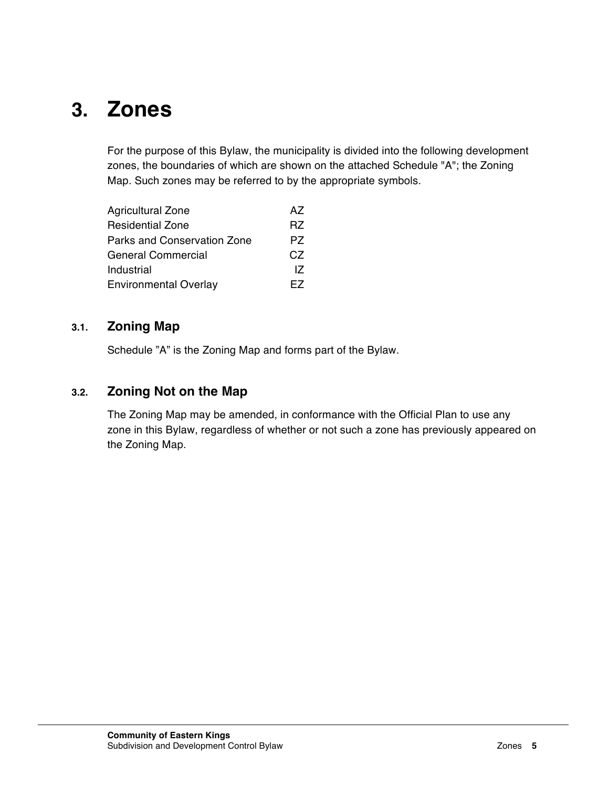# **3. Zones**

For the purpose of this Bylaw, the municipality is divided into the following development zones, the boundaries of which are shown on the attached Schedule "A"; the Zoning Map. Such zones may be referred to by the appropriate symbols.

| <b>Agricultural Zone</b>     | A7  |
|------------------------------|-----|
| <b>Residential Zone</b>      | R7  |
| Parks and Conservation Zone  | PZ. |
| <b>General Commercial</b>    | CZ. |
| Industrial                   | 17  |
| <b>Environmental Overlay</b> | FZ. |

### **3.1. Zoning Map**

Schedule "A" is the Zoning Map and forms part of the Bylaw.

# **3.2. Zoning Not on the Map**

The Zoning Map may be amended, in conformance with the Official Plan to use any zone in this Bylaw, regardless of whether or not such a zone has previously appeared on the Zoning Map.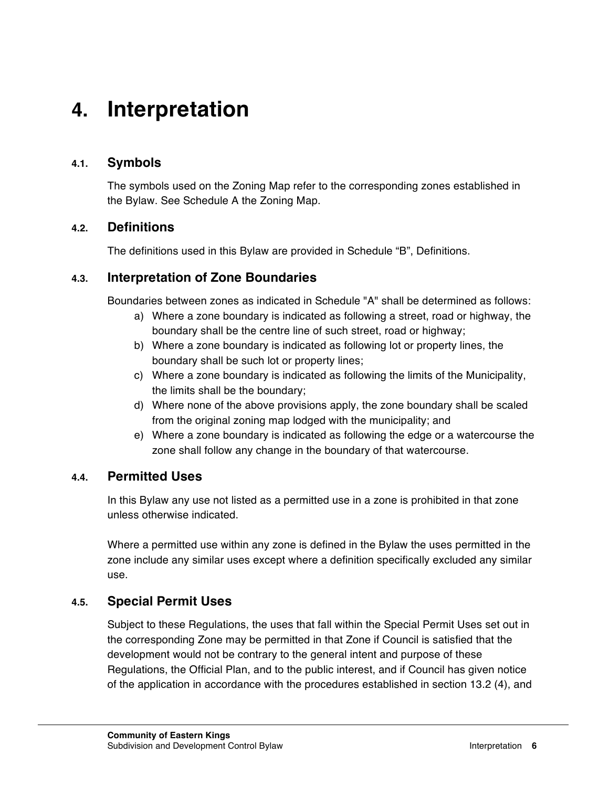# **4. Interpretation**

### **4.1. Symbols**

The symbols used on the Zoning Map refer to the corresponding zones established in the Bylaw. See Schedule A the Zoning Map.

### **4.2. Definitions**

The definitions used in this Bylaw are provided in Schedule "B", Definitions.

### **4.3. Interpretation of Zone Boundaries**

Boundaries between zones as indicated in Schedule "A" shall be determined as follows:

- a) Where a zone boundary is indicated as following a street, road or highway, the boundary shall be the centre line of such street, road or highway;
- b) Where a zone boundary is indicated as following lot or property lines, the boundary shall be such lot or property lines;
- c) Where a zone boundary is indicated as following the limits of the Municipality, the limits shall be the boundary;
- d) Where none of the above provisions apply, the zone boundary shall be scaled from the original zoning map lodged with the municipality; and
- e) Where a zone boundary is indicated as following the edge or a watercourse the zone shall follow any change in the boundary of that watercourse.

### **4.4. Permitted Uses**

In this Bylaw any use not listed as a permitted use in a zone is prohibited in that zone unless otherwise indicated.

Where a permitted use within any zone is defined in the Bylaw the uses permitted in the zone include any similar uses except where a definition specifically excluded any similar use.

### **4.5. Special Permit Uses**

Subject to these Regulations, the uses that fall within the Special Permit Uses set out in the corresponding Zone may be permitted in that Zone if Council is satisfied that the development would not be contrary to the general intent and purpose of these Regulations, the Official Plan, and to the public interest, and if Council has given notice of the application in accordance with the procedures established in section 13.2 (4), and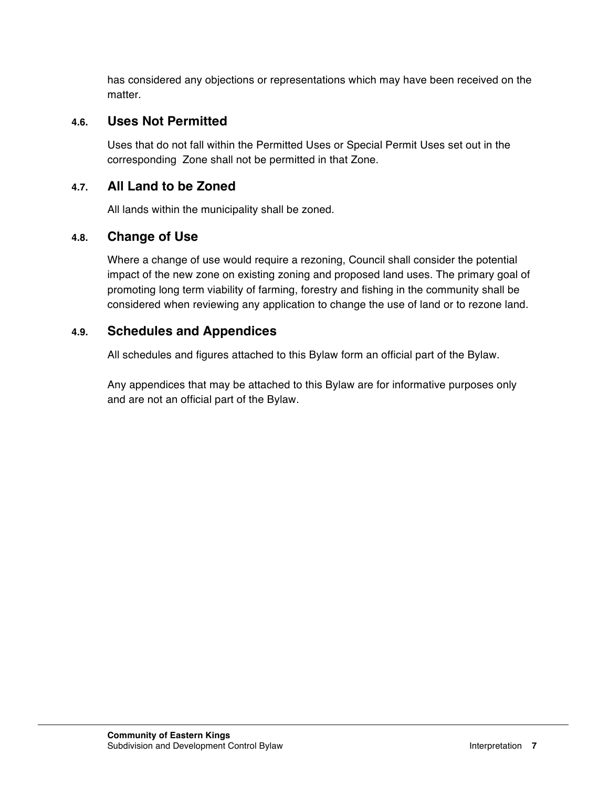has considered any objections or representations which may have been received on the matter.

### **4.6. Uses Not Permitted**

Uses that do not fall within the Permitted Uses or Special Permit Uses set out in the corresponding Zone shall not be permitted in that Zone.

### **4.7. All Land to be Zoned**

All lands within the municipality shall be zoned.

### **4.8. Change of Use**

Where a change of use would require a rezoning, Council shall consider the potential impact of the new zone on existing zoning and proposed land uses. The primary goal of promoting long term viability of farming, forestry and fishing in the community shall be considered when reviewing any application to change the use of land or to rezone land.

### **4.9. Schedules and Appendices**

All schedules and figures attached to this Bylaw form an official part of the Bylaw.

Any appendices that may be attached to this Bylaw are for informative purposes only and are not an official part of the Bylaw.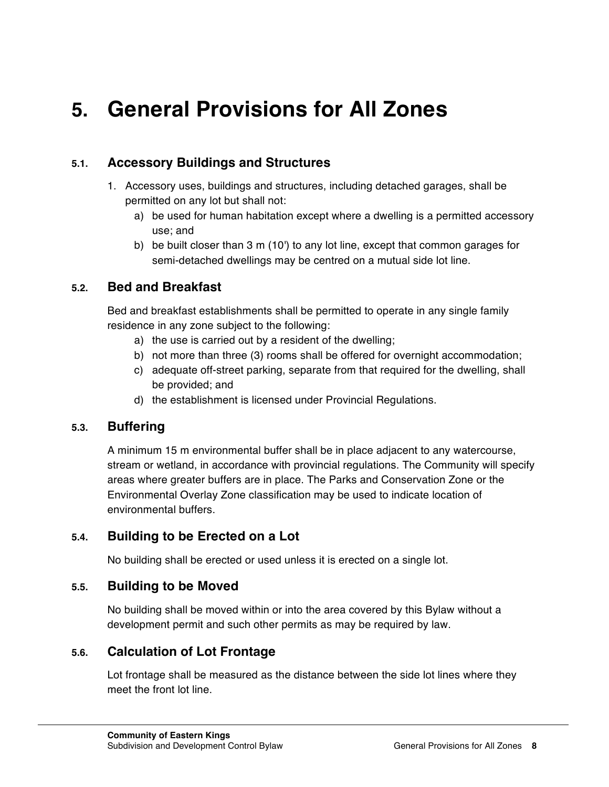# **5. General Provisions for All Zones**

### **5.1. Accessory Buildings and Structures**

- 1. Accessory uses, buildings and structures, including detached garages, shall be permitted on any lot but shall not:
	- a) be used for human habitation except where a dwelling is a permitted accessory use; and
	- b) be built closer than 3 m (10') to any lot line, except that common garages for semi-detached dwellings may be centred on a mutual side lot line.

### **5.2. Bed and Breakfast**

Bed and breakfast establishments shall be permitted to operate in any single family residence in any zone subject to the following:

- a) the use is carried out by a resident of the dwelling;
- b) not more than three (3) rooms shall be offered for overnight accommodation;
- c) adequate off-street parking, separate from that required for the dwelling, shall be provided; and
- d) the establishment is licensed under Provincial Regulations.

### **5.3. Buffering**

A minimum 15 m environmental buffer shall be in place adjacent to any watercourse, stream or wetland, in accordance with provincial regulations. The Community will specify areas where greater buffers are in place. The Parks and Conservation Zone or the Environmental Overlay Zone classification may be used to indicate location of environmental buffers.

### **5.4. Building to be Erected on a Lot**

No building shall be erected or used unless it is erected on a single lot.

### **5.5. Building to be Moved**

No building shall be moved within or into the area covered by this Bylaw without a development permit and such other permits as may be required by law.

### **5.6. Calculation of Lot Frontage**

Lot frontage shall be measured as the distance between the side lot lines where they meet the front lot line.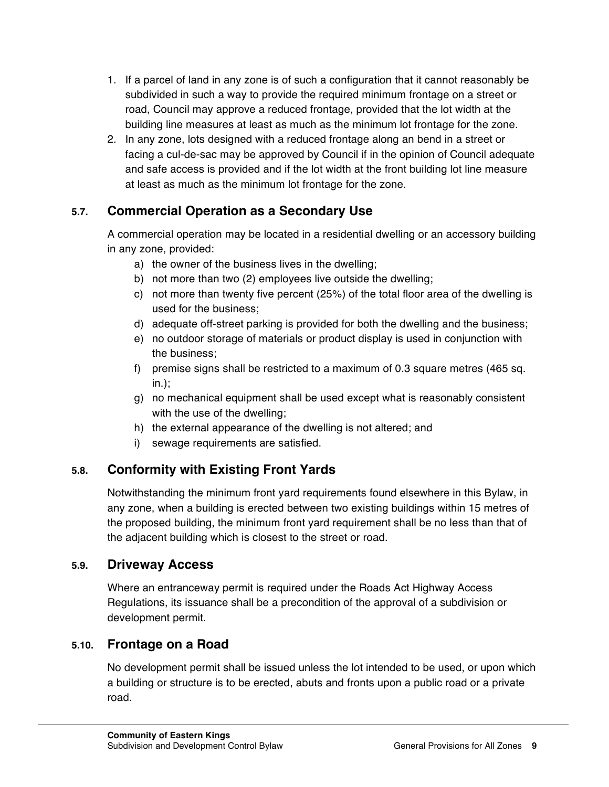- 1. If a parcel of land in any zone is of such a configuration that it cannot reasonably be subdivided in such a way to provide the required minimum frontage on a street or road, Council may approve a reduced frontage, provided that the lot width at the building line measures at least as much as the minimum lot frontage for the zone.
- 2. In any zone, lots designed with a reduced frontage along an bend in a street or facing a cul-de-sac may be approved by Council if in the opinion of Council adequate and safe access is provided and if the lot width at the front building lot line measure at least as much as the minimum lot frontage for the zone.

# **5.7. Commercial Operation as a Secondary Use**

A commercial operation may be located in a residential dwelling or an accessory building in any zone, provided:

- a) the owner of the business lives in the dwelling;
- b) not more than two (2) employees live outside the dwelling;
- c) not more than twenty five percent (25%) of the total floor area of the dwelling is used for the business;
- d) adequate off-street parking is provided for both the dwelling and the business;
- e) no outdoor storage of materials or product display is used in conjunction with the business;
- f) premise signs shall be restricted to a maximum of 0.3 square metres (465 sq. in.);
- g) no mechanical equipment shall be used except what is reasonably consistent with the use of the dwelling;
- h) the external appearance of the dwelling is not altered; and
- i) sewage requirements are satisfied.

# **5.8. Conformity with Existing Front Yards**

Notwithstanding the minimum front yard requirements found elsewhere in this Bylaw, in any zone, when a building is erected between two existing buildings within 15 metres of the proposed building, the minimum front yard requirement shall be no less than that of the adjacent building which is closest to the street or road.

### **5.9. Driveway Access**

Where an entranceway permit is required under the Roads Act Highway Access Regulations, its issuance shall be a precondition of the approval of a subdivision or development permit.

# **5.10. Frontage on a Road**

No development permit shall be issued unless the lot intended to be used, or upon which a building or structure is to be erected, abuts and fronts upon a public road or a private road.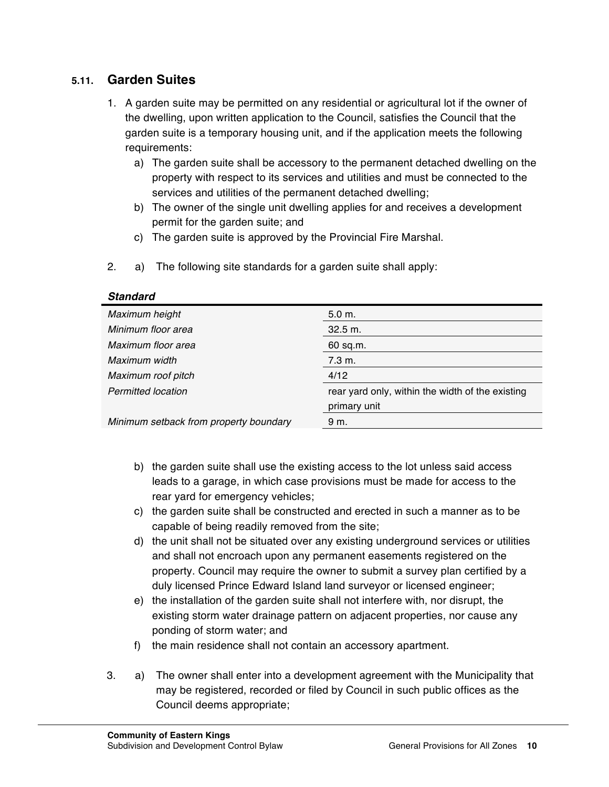### **5.11. Garden Suites**

- 1. A garden suite may be permitted on any residential or agricultural lot if the owner of the dwelling, upon written application to the Council, satisfies the Council that the garden suite is a temporary housing unit, and if the application meets the following requirements:
	- a) The garden suite shall be accessory to the permanent detached dwelling on the property with respect to its services and utilities and must be connected to the services and utilities of the permanent detached dwelling;
	- b) The owner of the single unit dwelling applies for and receives a development permit for the garden suite; and
	- c) The garden suite is approved by the Provincial Fire Marshal.
- 2. a) The following site standards for a garden suite shall apply:

| Maximum height                         | 5.0 m.                                                           |
|----------------------------------------|------------------------------------------------------------------|
| Minimum floor area                     | $32.5 \text{ m}$ .                                               |
| Maximum floor area                     | 60 sq.m.                                                         |
| Maximum width                          | 7.3 m.                                                           |
| Maximum roof pitch                     | 4/12                                                             |
| <b>Permitted location</b>              | rear yard only, within the width of the existing<br>primary unit |
| Minimum setback from property boundary | 9 m.                                                             |

#### *Standard*

- b) the garden suite shall use the existing access to the lot unless said access leads to a garage, in which case provisions must be made for access to the rear yard for emergency vehicles;
- c) the garden suite shall be constructed and erected in such a manner as to be capable of being readily removed from the site;
- d) the unit shall not be situated over any existing underground services or utilities and shall not encroach upon any permanent easements registered on the property. Council may require the owner to submit a survey plan certified by a duly licensed Prince Edward Island land surveyor or licensed engineer;
- e) the installation of the garden suite shall not interfere with, nor disrupt, the existing storm water drainage pattern on adjacent properties, nor cause any ponding of storm water; and
- f) the main residence shall not contain an accessory apartment.
- 3. a) The owner shall enter into a development agreement with the Municipality that may be registered, recorded or filed by Council in such public offices as the Council deems appropriate;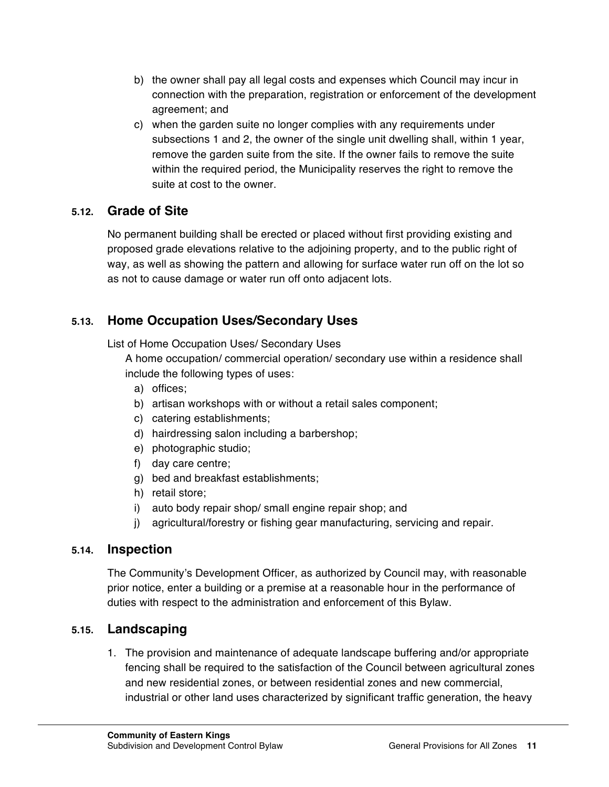- b) the owner shall pay all legal costs and expenses which Council may incur in connection with the preparation, registration or enforcement of the development agreement; and
- c) when the garden suite no longer complies with any requirements under subsections 1 and 2, the owner of the single unit dwelling shall, within 1 year, remove the garden suite from the site. If the owner fails to remove the suite within the required period, the Municipality reserves the right to remove the suite at cost to the owner.

### **5.12. Grade of Site**

No permanent building shall be erected or placed without first providing existing and proposed grade elevations relative to the adjoining property, and to the public right of way, as well as showing the pattern and allowing for surface water run off on the lot so as not to cause damage or water run off onto adjacent lots.

# **5.13. Home Occupation Uses/Secondary Uses**

List of Home Occupation Uses/ Secondary Uses

A home occupation/ commercial operation/ secondary use within a residence shall include the following types of uses:

- a) offices;
- b) artisan workshops with or without a retail sales component;
- c) catering establishments;
- d) hairdressing salon including a barbershop;
- e) photographic studio;
- f) day care centre;
- g) bed and breakfast establishments;
- h) retail store;
- i) auto body repair shop/ small engine repair shop; and
- j) agricultural/forestry or fishing gear manufacturing, servicing and repair.

### **5.14. Inspection**

The Community's Development Officer, as authorized by Council may, with reasonable prior notice, enter a building or a premise at a reasonable hour in the performance of duties with respect to the administration and enforcement of this Bylaw.

# **5.15. Landscaping**

1. The provision and maintenance of adequate landscape buffering and/or appropriate fencing shall be required to the satisfaction of the Council between agricultural zones and new residential zones, or between residential zones and new commercial, industrial or other land uses characterized by significant traffic generation, the heavy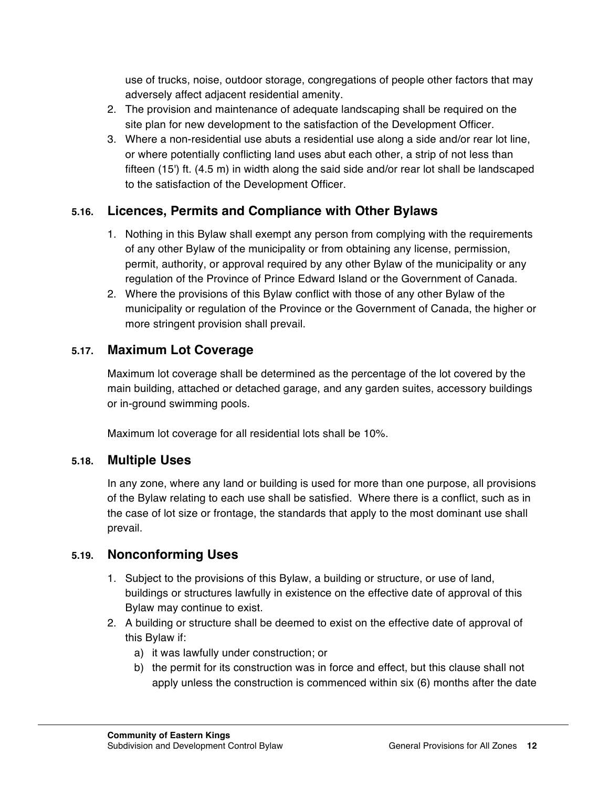use of trucks, noise, outdoor storage, congregations of people other factors that may adversely affect adjacent residential amenity.

- 2. The provision and maintenance of adequate landscaping shall be required on the site plan for new development to the satisfaction of the Development Officer.
- 3. Where a non-residential use abuts a residential use along a side and/or rear lot line, or where potentially conflicting land uses abut each other, a strip of not less than fifteen (15') ft. (4.5 m) in width along the said side and/or rear lot shall be landscaped to the satisfaction of the Development Officer.

### **5.16. Licences, Permits and Compliance with Other Bylaws**

- 1. Nothing in this Bylaw shall exempt any person from complying with the requirements of any other Bylaw of the municipality or from obtaining any license, permission, permit, authority, or approval required by any other Bylaw of the municipality or any regulation of the Province of Prince Edward Island or the Government of Canada.
- 2. Where the provisions of this Bylaw conflict with those of any other Bylaw of the municipality or regulation of the Province or the Government of Canada, the higher or more stringent provision shall prevail.

### **5.17. Maximum Lot Coverage**

Maximum lot coverage shall be determined as the percentage of the lot covered by the main building, attached or detached garage, and any garden suites, accessory buildings or in-ground swimming pools.

Maximum lot coverage for all residential lots shall be 10%.

### **5.18. Multiple Uses**

In any zone, where any land or building is used for more than one purpose, all provisions of the Bylaw relating to each use shall be satisfied. Where there is a conflict, such as in the case of lot size or frontage, the standards that apply to the most dominant use shall prevail.

### **5.19. Nonconforming Uses**

- 1. Subject to the provisions of this Bylaw, a building or structure, or use of land, buildings or structures lawfully in existence on the effective date of approval of this Bylaw may continue to exist.
- 2. A building or structure shall be deemed to exist on the effective date of approval of this Bylaw if:
	- a) it was lawfully under construction; or
	- b) the permit for its construction was in force and effect, but this clause shall not apply unless the construction is commenced within six (6) months after the date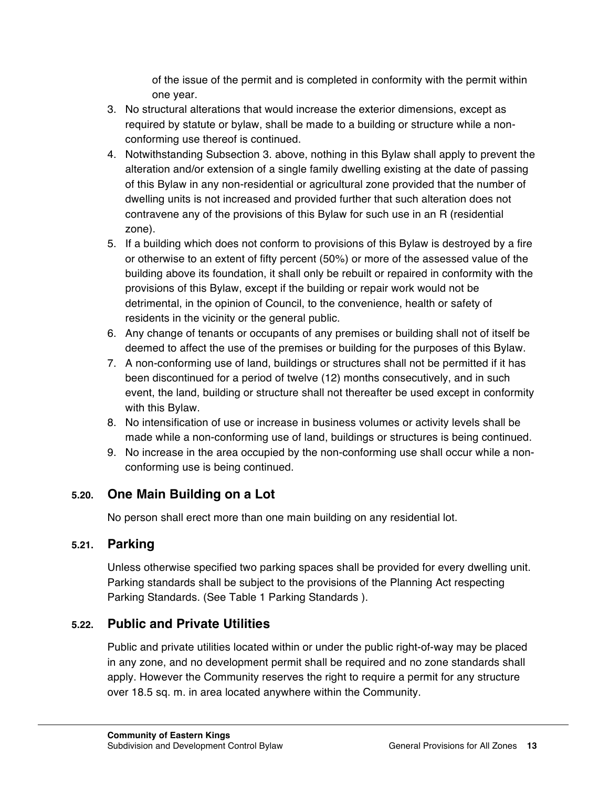of the issue of the permit and is completed in conformity with the permit within one year.

- 3. No structural alterations that would increase the exterior dimensions, except as required by statute or bylaw, shall be made to a building or structure while a nonconforming use thereof is continued.
- 4. Notwithstanding Subsection 3. above, nothing in this Bylaw shall apply to prevent the alteration and/or extension of a single family dwelling existing at the date of passing of this Bylaw in any non-residential or agricultural zone provided that the number of dwelling units is not increased and provided further that such alteration does not contravene any of the provisions of this Bylaw for such use in an R (residential zone).
- 5. If a building which does not conform to provisions of this Bylaw is destroyed by a fire or otherwise to an extent of fifty percent (50%) or more of the assessed value of the building above its foundation, it shall only be rebuilt or repaired in conformity with the provisions of this Bylaw, except if the building or repair work would not be detrimental, in the opinion of Council, to the convenience, health or safety of residents in the vicinity or the general public.
- 6. Any change of tenants or occupants of any premises or building shall not of itself be deemed to affect the use of the premises or building for the purposes of this Bylaw.
- 7. A non-conforming use of land, buildings or structures shall not be permitted if it has been discontinued for a period of twelve (12) months consecutively, and in such event, the land, building or structure shall not thereafter be used except in conformity with this Bylaw.
- 8. No intensification of use or increase in business volumes or activity levels shall be made while a non-conforming use of land, buildings or structures is being continued.
- 9. No increase in the area occupied by the non-conforming use shall occur while a nonconforming use is being continued.

# **5.20. One Main Building on a Lot**

No person shall erect more than one main building on any residential lot.

# **5.21. Parking**

Unless otherwise specified two parking spaces shall be provided for every dwelling unit. Parking standards shall be subject to the provisions of the Planning Act respecting Parking Standards. (See Table 1 Parking Standards ).

# **5.22. Public and Private Utilities**

Public and private utilities located within or under the public right-of-way may be placed in any zone, and no development permit shall be required and no zone standards shall apply. However the Community reserves the right to require a permit for any structure over 18.5 sq. m. in area located anywhere within the Community.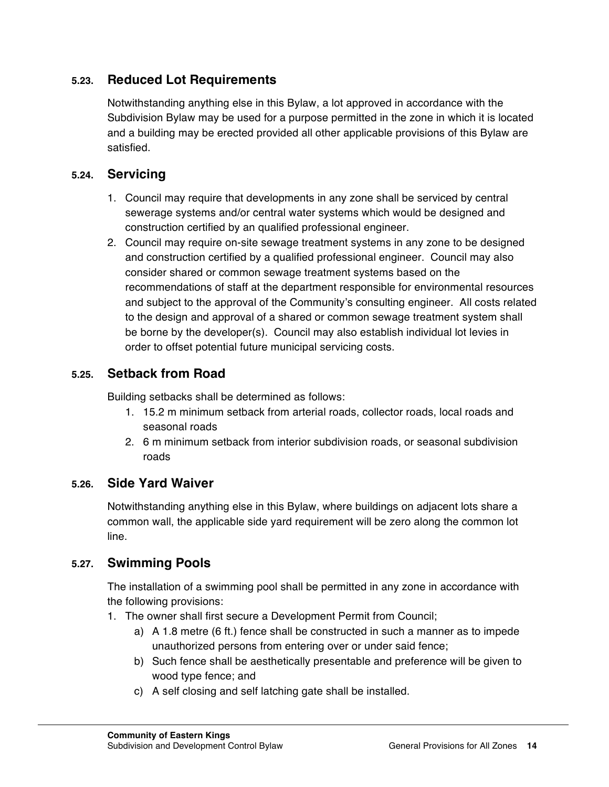### **5.23. Reduced Lot Requirements**

Notwithstanding anything else in this Bylaw, a lot approved in accordance with the Subdivision Bylaw may be used for a purpose permitted in the zone in which it is located and a building may be erected provided all other applicable provisions of this Bylaw are satisfied.

### **5.24. Servicing**

- 1. Council may require that developments in any zone shall be serviced by central sewerage systems and/or central water systems which would be designed and construction certified by an qualified professional engineer.
- 2. Council may require on-site sewage treatment systems in any zone to be designed and construction certified by a qualified professional engineer. Council may also consider shared or common sewage treatment systems based on the recommendations of staff at the department responsible for environmental resources and subject to the approval of the Community's consulting engineer. All costs related to the design and approval of a shared or common sewage treatment system shall be borne by the developer(s). Council may also establish individual lot levies in order to offset potential future municipal servicing costs.

### **5.25. Setback from Road**

Building setbacks shall be determined as follows:

- 1. 15.2 m minimum setback from arterial roads, collector roads, local roads and seasonal roads
- 2. 6 m minimum setback from interior subdivision roads, or seasonal subdivision roads

### **5.26. Side Yard Waiver**

Notwithstanding anything else in this Bylaw, where buildings on adjacent lots share a common wall, the applicable side yard requirement will be zero along the common lot line.

### **5.27. Swimming Pools**

The installation of a swimming pool shall be permitted in any zone in accordance with the following provisions:

- 1. The owner shall first secure a Development Permit from Council;
	- a) A 1.8 metre (6 ft.) fence shall be constructed in such a manner as to impede unauthorized persons from entering over or under said fence;
	- b) Such fence shall be aesthetically presentable and preference will be given to wood type fence; and
	- c) A self closing and self latching gate shall be installed.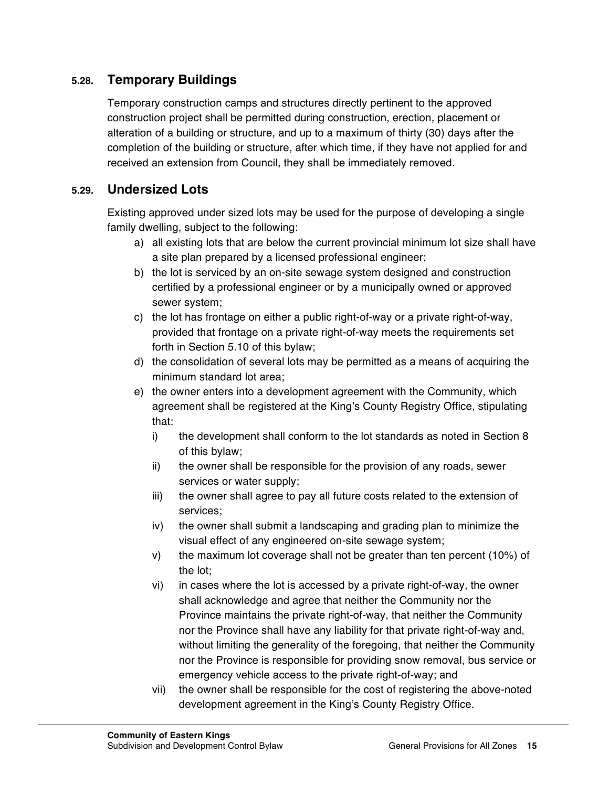### **5.28. Temporary Buildings**

Temporary construction camps and structures directly pertinent to the approved construction project shall be permitted during construction, erection, placement or alteration of a building or structure, and up to a maximum of thirty (30) days after the completion of the building or structure, after which time, if they have not applied for and received an extension from Council, they shall be immediately removed.

### **5.29. Undersized Lots**

Existing approved under sized lots may be used for the purpose of developing a single family dwelling, subject to the following:

- a) all existing lots that are below the current provincial minimum lot size shall have a site plan prepared by a licensed professional engineer;
- b) the lot is serviced by an on-site sewage system designed and construction certified by a professional engineer or by a municipally owned or approved sewer system;
- c) the lot has frontage on either a public right-of-way or a private right-of-way, provided that frontage on a private right-of-way meets the requirements set forth in Section 5.10 of this bylaw;
- d) the consolidation of several lots may be permitted as a means of acquiring the minimum standard lot area;
- e) the owner enters into a development agreement with the Community, which agreement shall be registered at the King's County Registry Office, stipulating that:
	- i) the development shall conform to the lot standards as noted in Section 8 of this bylaw;
	- ii) the owner shall be responsible for the provision of any roads, sewer services or water supply;
	- iii) the owner shall agree to pay all future costs related to the extension of services;
	- iv) the owner shall submit a landscaping and grading plan to minimize the visual effect of any engineered on-site sewage system;
	- v) the maximum lot coverage shall not be greater than ten percent (10%) of the lot;
	- vi) in cases where the lot is accessed by a private right-of-way, the owner shall acknowledge and agree that neither the Community nor the Province maintains the private right-of-way, that neither the Community nor the Province shall have any liability for that private right-of-way and, without limiting the generality of the foregoing, that neither the Community nor the Province is responsible for providing snow removal, bus service or emergency vehicle access to the private right-of-way; and
	- vii) the owner shall be responsible for the cost of registering the above-noted development agreement in the King's County Registry Office.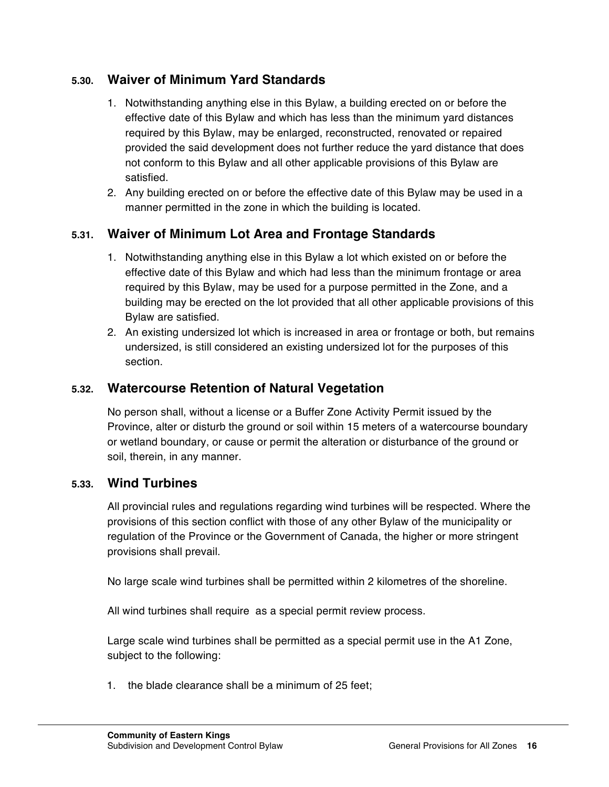### **5.30. Waiver of Minimum Yard Standards**

- 1. Notwithstanding anything else in this Bylaw, a building erected on or before the effective date of this Bylaw and which has less than the minimum yard distances required by this Bylaw, may be enlarged, reconstructed, renovated or repaired provided the said development does not further reduce the yard distance that does not conform to this Bylaw and all other applicable provisions of this Bylaw are satisfied.
- 2. Any building erected on or before the effective date of this Bylaw may be used in a manner permitted in the zone in which the building is located.

# **5.31. Waiver of Minimum Lot Area and Frontage Standards**

- 1. Notwithstanding anything else in this Bylaw a lot which existed on or before the effective date of this Bylaw and which had less than the minimum frontage or area required by this Bylaw, may be used for a purpose permitted in the Zone, and a building may be erected on the lot provided that all other applicable provisions of this Bylaw are satisfied.
- 2. An existing undersized lot which is increased in area or frontage or both, but remains undersized, is still considered an existing undersized lot for the purposes of this section.

### **5.32. Watercourse Retention of Natural Vegetation**

No person shall, without a license or a Buffer Zone Activity Permit issued by the Province, alter or disturb the ground or soil within 15 meters of a watercourse boundary or wetland boundary, or cause or permit the alteration or disturbance of the ground or soil, therein, in any manner.

### **5.33. Wind Turbines**

All provincial rules and regulations regarding wind turbines will be respected. Where the provisions of this section conflict with those of any other Bylaw of the municipality or regulation of the Province or the Government of Canada, the higher or more stringent provisions shall prevail.

No large scale wind turbines shall be permitted within 2 kilometres of the shoreline.

All wind turbines shall require as a special permit review process.

Large scale wind turbines shall be permitted as a special permit use in the A1 Zone, subject to the following:

1. the blade clearance shall be a minimum of 25 feet;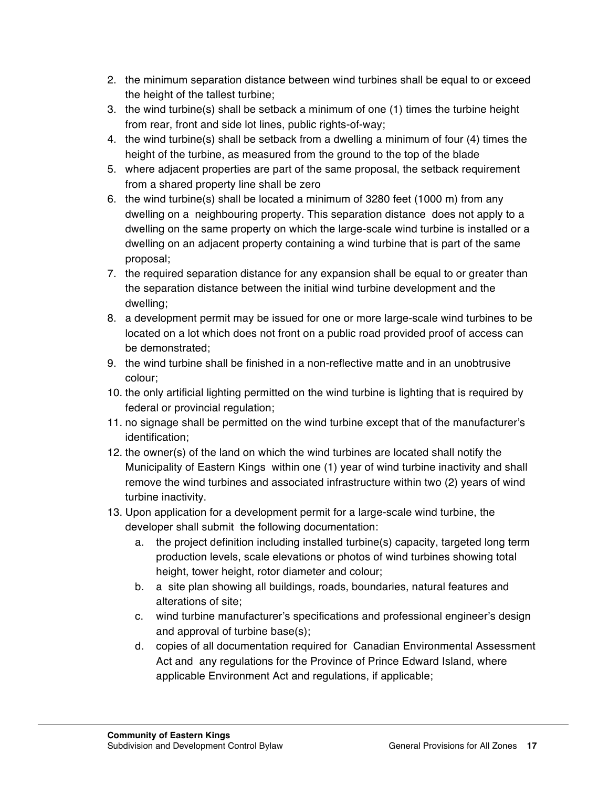- 2. the minimum separation distance between wind turbines shall be equal to or exceed the height of the tallest turbine;
- 3. the wind turbine(s) shall be setback a minimum of one (1) times the turbine height from rear, front and side lot lines, public rights-of-way;
- 4. the wind turbine(s) shall be setback from a dwelling a minimum of four (4) times the height of the turbine, as measured from the ground to the top of the blade
- 5. where adjacent properties are part of the same proposal, the setback requirement from a shared property line shall be zero
- 6. the wind turbine(s) shall be located a minimum of 3280 feet (1000 m) from any dwelling on a neighbouring property. This separation distance does not apply to a dwelling on the same property on which the large-scale wind turbine is installed or a dwelling on an adjacent property containing a wind turbine that is part of the same proposal;
- 7. the required separation distance for any expansion shall be equal to or greater than the separation distance between the initial wind turbine development and the dwelling;
- 8. a development permit may be issued for one or more large-scale wind turbines to be located on a lot which does not front on a public road provided proof of access can be demonstrated;
- 9. the wind turbine shall be finished in a non-reflective matte and in an unobtrusive colour;
- 10. the only artificial lighting permitted on the wind turbine is lighting that is required by federal or provincial regulation;
- 11. no signage shall be permitted on the wind turbine except that of the manufacturer's identification;
- 12. the owner(s) of the land on which the wind turbines are located shall notify the Municipality of Eastern Kings within one (1) year of wind turbine inactivity and shall remove the wind turbines and associated infrastructure within two (2) years of wind turbine inactivity.
- 13. Upon application for a development permit for a large-scale wind turbine, the developer shall submit the following documentation:
	- a. the project definition including installed turbine(s) capacity, targeted long term production levels, scale elevations or photos of wind turbines showing total height, tower height, rotor diameter and colour;
	- b. a site plan showing all buildings, roads, boundaries, natural features and alterations of site;
	- c. wind turbine manufacturer's specifications and professional engineer's design and approval of turbine base(s);
	- d. copies of all documentation required for Canadian Environmental Assessment Act and any regulations for the Province of Prince Edward Island, where applicable Environment Act and regulations, if applicable;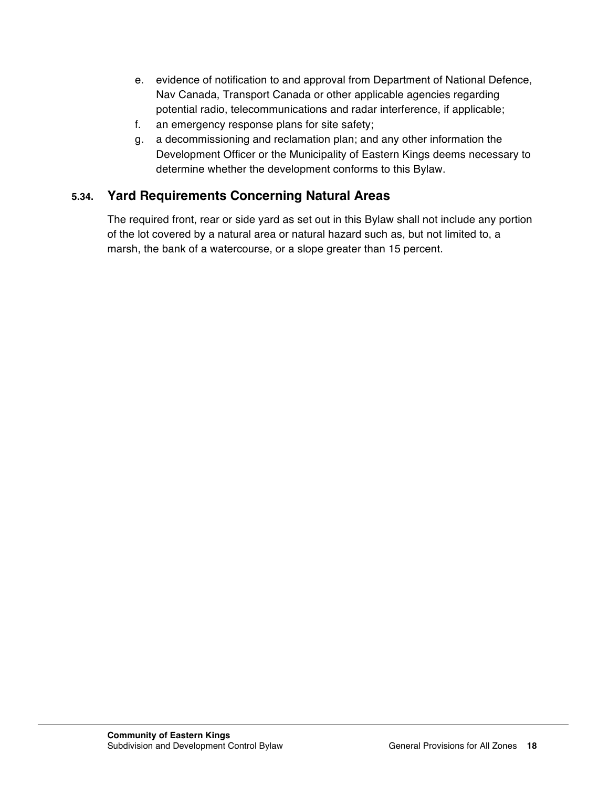- e. evidence of notification to and approval from Department of National Defence, Nav Canada, Transport Canada or other applicable agencies regarding potential radio, telecommunications and radar interference, if applicable;
- f. an emergency response plans for site safety;
- g. a decommissioning and reclamation plan; and any other information the Development Officer or the Municipality of Eastern Kings deems necessary to determine whether the development conforms to this Bylaw.

# **5.34. Yard Requirements Concerning Natural Areas**

The required front, rear or side yard as set out in this Bylaw shall not include any portion of the lot covered by a natural area or natural hazard such as, but not limited to, a marsh, the bank of a watercourse, or a slope greater than 15 percent.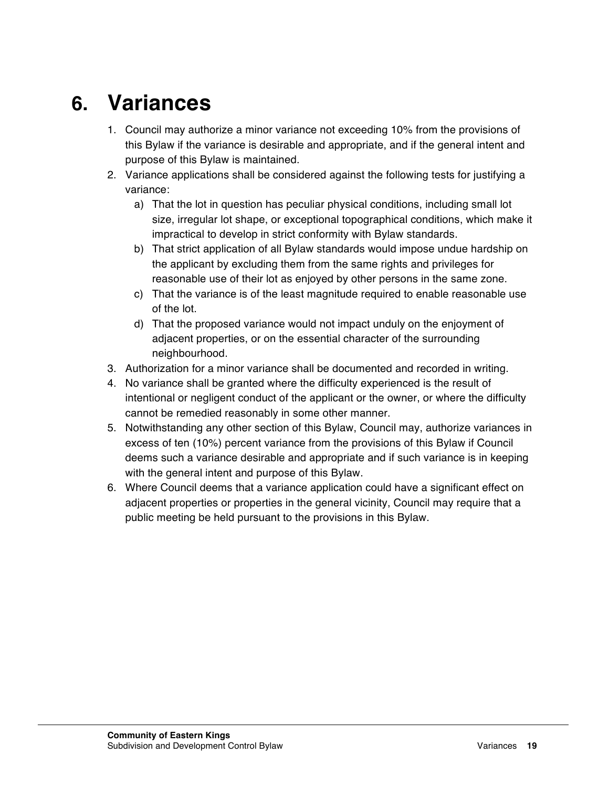# **6. Variances**

- 1. Council may authorize a minor variance not exceeding 10% from the provisions of this Bylaw if the variance is desirable and appropriate, and if the general intent and purpose of this Bylaw is maintained.
- 2. Variance applications shall be considered against the following tests for justifying a variance:
	- a) That the lot in question has peculiar physical conditions, including small lot size, irregular lot shape, or exceptional topographical conditions, which make it impractical to develop in strict conformity with Bylaw standards.
	- b) That strict application of all Bylaw standards would impose undue hardship on the applicant by excluding them from the same rights and privileges for reasonable use of their lot as enjoyed by other persons in the same zone.
	- c) That the variance is of the least magnitude required to enable reasonable use of the lot.
	- d) That the proposed variance would not impact unduly on the enjoyment of adjacent properties, or on the essential character of the surrounding neighbourhood.
- 3. Authorization for a minor variance shall be documented and recorded in writing.
- 4. No variance shall be granted where the difficulty experienced is the result of intentional or negligent conduct of the applicant or the owner, or where the difficulty cannot be remedied reasonably in some other manner.
- 5. Notwithstanding any other section of this Bylaw, Council may, authorize variances in excess of ten (10%) percent variance from the provisions of this Bylaw if Council deems such a variance desirable and appropriate and if such variance is in keeping with the general intent and purpose of this Bylaw.
- 6. Where Council deems that a variance application could have a significant effect on adjacent properties or properties in the general vicinity, Council may require that a public meeting be held pursuant to the provisions in this Bylaw.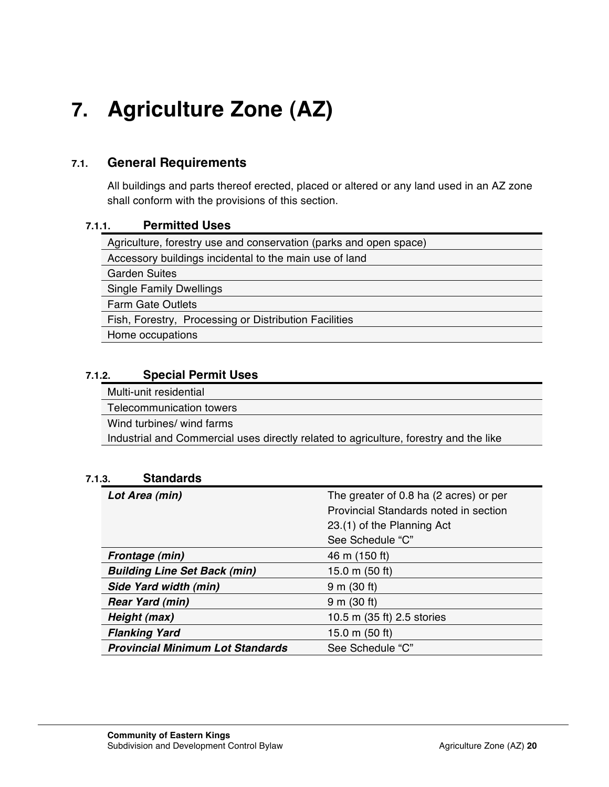# **7. Agriculture Zone (AZ)**

### **7.1. General Requirements**

All buildings and parts thereof erected, placed or altered or any land used in an AZ zone shall conform with the provisions of this section.

### **7.1.1. Permitted Uses**

| Agriculture, forestry use and conservation (parks and open space) |  |  |
|-------------------------------------------------------------------|--|--|
| Accessory buildings incidental to the main use of land            |  |  |
| <b>Garden Suites</b>                                              |  |  |
| <b>Single Family Dwellings</b>                                    |  |  |
| <b>Farm Gate Outlets</b>                                          |  |  |
| Fish, Forestry, Processing or Distribution Facilities             |  |  |
| Home occupations                                                  |  |  |
|                                                                   |  |  |

### **7.1.2. Special Permit Uses**

Multi-unit residential

Telecommunication towers

Wind turbines/ wind farms

Industrial and Commercial uses directly related to agriculture, forestry and the like

### **7.1.3. Standards**

| Lot Area (min)                          | The greater of 0.8 ha (2 acres) or per |
|-----------------------------------------|----------------------------------------|
|                                         | Provincial Standards noted in section  |
|                                         | 23.(1) of the Planning Act             |
|                                         | See Schedule "C"                       |
| <b>Frontage (min)</b>                   | 46 m (150 ft)                          |
| <b>Building Line Set Back (min)</b>     | 15.0 m $(50$ ft)                       |
| Side Yard width (min)                   | $9 \text{ m}$ (30 ft)                  |
| <b>Rear Yard (min)</b>                  | $9 \text{ m}$ (30 ft)                  |
| Height (max)                            | 10.5 m (35 ft) 2.5 stories             |
| <b>Flanking Yard</b>                    | 15.0 m $(50 ft)$                       |
| <b>Provincial Minimum Lot Standards</b> | See Schedule "C"                       |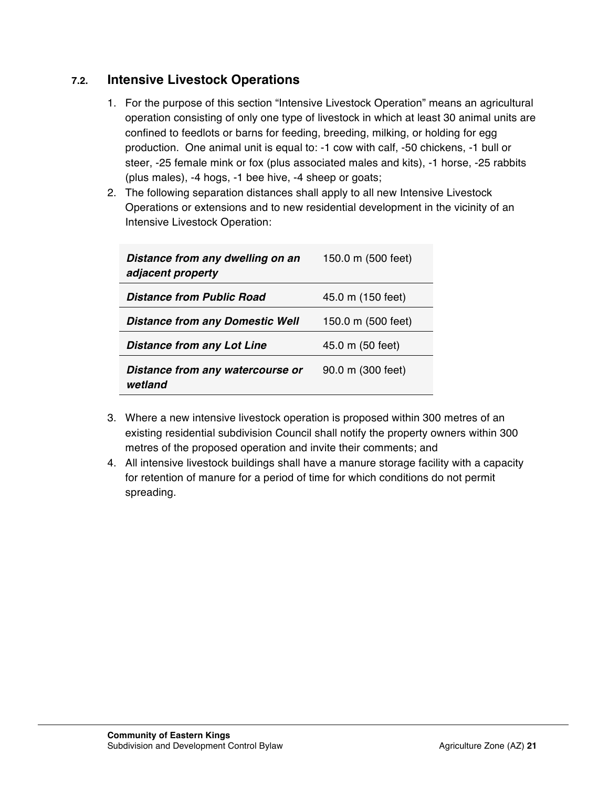### **7.2. Intensive Livestock Operations**

- 1. For the purpose of this section "Intensive Livestock Operation" means an agricultural operation consisting of only one type of livestock in which at least 30 animal units are confined to feedlots or barns for feeding, breeding, milking, or holding for egg production. One animal unit is equal to: -1 cow with calf, -50 chickens, -1 bull or steer, -25 female mink or fox (plus associated males and kits), -1 horse, -25 rabbits (plus males), -4 hogs, -1 bee hive, -4 sheep or goats;
- 2. The following separation distances shall apply to all new Intensive Livestock Operations or extensions and to new residential development in the vicinity of an Intensive Livestock Operation:

| Distance from any dwelling on an<br>adjacent property | 150.0 m (500 feet) |
|-------------------------------------------------------|--------------------|
| Distance from Public Road                             | 45.0 m (150 feet)  |
| <b>Distance from any Domestic Well</b>                | 150.0 m (500 feet) |
| <b>Distance from any Lot Line</b>                     | 45.0 m (50 feet)   |
| Distance from any watercourse or<br>wetland           | 90.0 m (300 feet)  |

- 3. Where a new intensive livestock operation is proposed within 300 metres of an existing residential subdivision Council shall notify the property owners within 300 metres of the proposed operation and invite their comments; and
- 4. All intensive livestock buildings shall have a manure storage facility with a capacity for retention of manure for a period of time for which conditions do not permit spreading.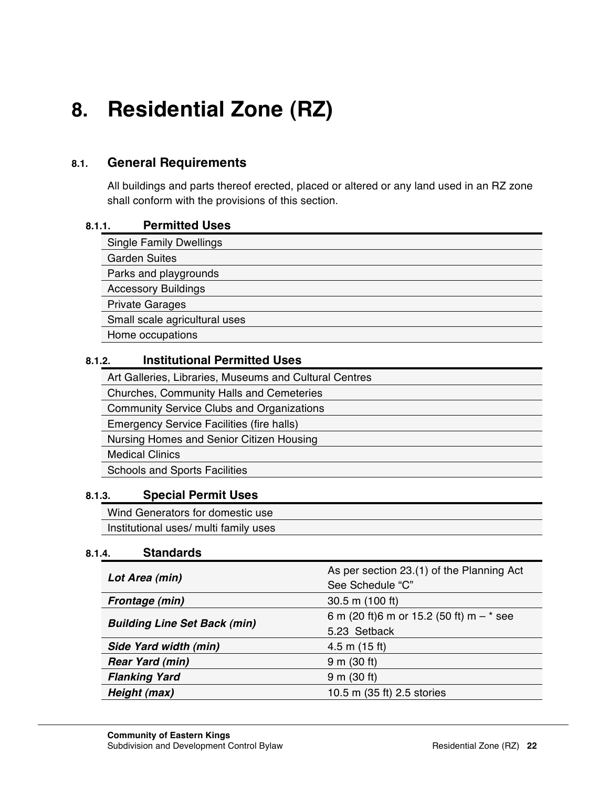# **8. Residential Zone (RZ)**

# **8.1. General Requirements**

All buildings and parts thereof erected, placed or altered or any land used in an RZ zone shall conform with the provisions of this section.

### **8.1.1. Permitted Uses**

| <b>Single Family Dwellings</b> |  |  |
|--------------------------------|--|--|
| <b>Garden Suites</b>           |  |  |
| Parks and playgrounds          |  |  |
| <b>Accessory Buildings</b>     |  |  |
| <b>Private Garages</b>         |  |  |
| Small scale agricultural uses  |  |  |
| Home occupations               |  |  |

### **8.1.2. Institutional Permitted Uses**

Art Galleries, Libraries, Museums and Cultural Centres Churches, Community Halls and Cemeteries Community Service Clubs and Organizations Emergency Service Facilities (fire halls) Nursing Homes and Senior Citizen Housing Medical Clinics Schools and Sports Facilities

### **8.1.3. Special Permit Uses**

Wind Generators for domestic use Institutional uses/ multi family uses

### **8.1.4. Standards**

| Lot Area (min)                      | As per section 23.(1) of the Planning Act<br>See Schedule "C" |
|-------------------------------------|---------------------------------------------------------------|
| Frontage (min)                      | $30.5$ m (100 ft)                                             |
| <b>Building Line Set Back (min)</b> | 6 m (20 ft)6 m or 15.2 (50 ft) m $-$ * see                    |
|                                     | 5.23 Setback                                                  |
| Side Yard width (min)               | $4.5$ m $(15$ ft)                                             |
| <b>Rear Yard (min)</b>              | $9 \text{ m}$ (30 ft)                                         |
| <b>Flanking Yard</b>                | 9 m (30 ft)                                                   |
| Height (max)                        | 10.5 m (35 ft) 2.5 stories                                    |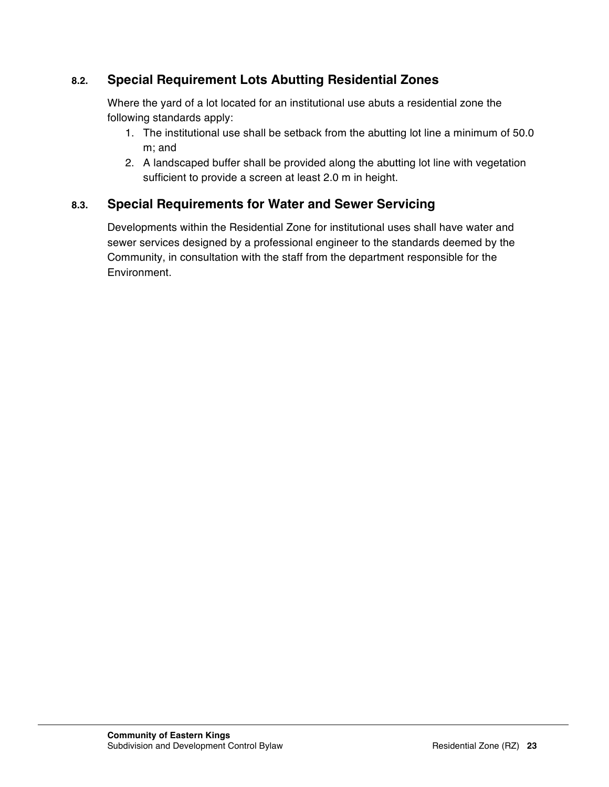# **8.2. Special Requirement Lots Abutting Residential Zones**

Where the yard of a lot located for an institutional use abuts a residential zone the following standards apply:

- 1. The institutional use shall be setback from the abutting lot line a minimum of 50.0 m; and
- 2. A landscaped buffer shall be provided along the abutting lot line with vegetation sufficient to provide a screen at least 2.0 m in height.

# **8.3. Special Requirements for Water and Sewer Servicing**

Developments within the Residential Zone for institutional uses shall have water and sewer services designed by a professional engineer to the standards deemed by the Community, in consultation with the staff from the department responsible for the Environment.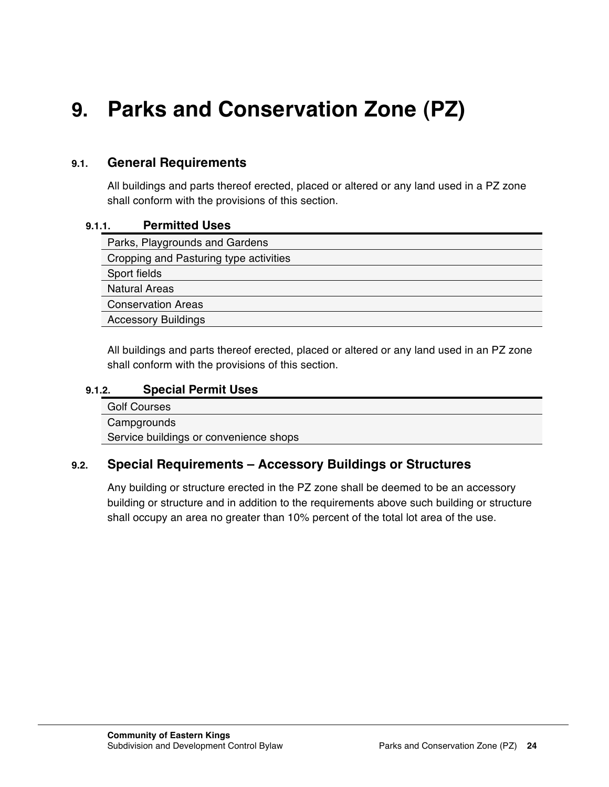# **9. Parks and Conservation Zone (PZ)**

### **9.1. General Requirements**

All buildings and parts thereof erected, placed or altered or any land used in a PZ zone shall conform with the provisions of this section.

#### **9.1.1. Permitted Uses**

| Parks, Playgrounds and Gardens         |
|----------------------------------------|
| Cropping and Pasturing type activities |
| Sport fields                           |
| <b>Natural Areas</b>                   |
| <b>Conservation Areas</b>              |
| <b>Accessory Buildings</b>             |
|                                        |

All buildings and parts thereof erected, placed or altered or any land used in an PZ zone shall conform with the provisions of this section.

#### **9.1.2. Special Permit Uses**

Golf Courses **Campgrounds** Service buildings or convenience shops

### **9.2. Special Requirements – Accessory Buildings or Structures**

Any building or structure erected in the PZ zone shall be deemed to be an accessory building or structure and in addition to the requirements above such building or structure shall occupy an area no greater than 10% percent of the total lot area of the use.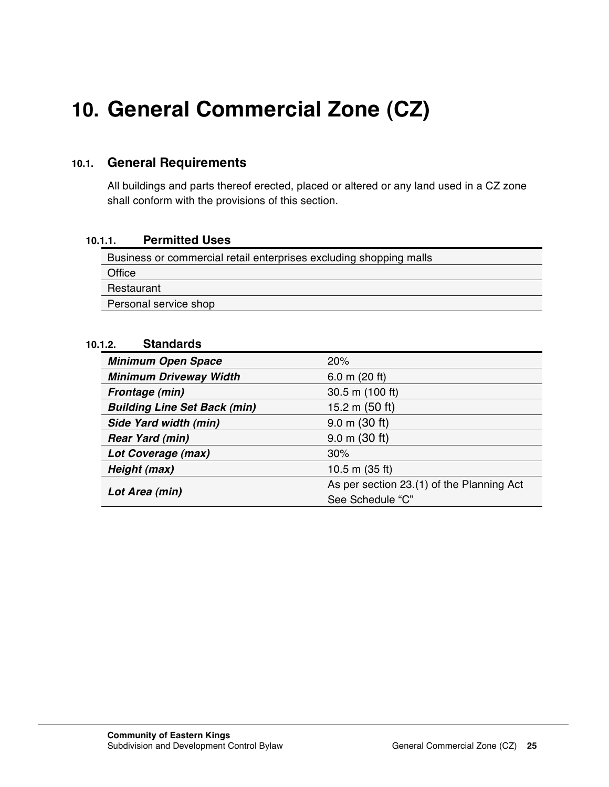# **10. General Commercial Zone (CZ)**

### **10.1. General Requirements**

All buildings and parts thereof erected, placed or altered or any land used in a CZ zone shall conform with the provisions of this section.

### **10.1.1. Permitted Uses**

Business or commercial retail enterprises excluding shopping malls **Office Restaurant** Personal service shop

### **10.1.2. Standards**

| <b>Minimum Open Space</b>           | 20%                                       |
|-------------------------------------|-------------------------------------------|
| <b>Minimum Driveway Width</b>       | 6.0 m $(20 ft)$                           |
| Frontage (min)                      | 30.5 m (100 ft)                           |
| <b>Building Line Set Back (min)</b> | 15.2 m $(50 ft)$                          |
| Side Yard width (min)               | $9.0 \text{ m}$ (30 ft)                   |
| <b>Rear Yard (min)</b>              | $9.0 \text{ m}$ (30 ft)                   |
| Lot Coverage (max)                  | 30%                                       |
| Height (max)                        | 10.5 m $(35 ft)$                          |
|                                     | As per section 23.(1) of the Planning Act |
| Lot Area (min)                      | See Schedule "C"                          |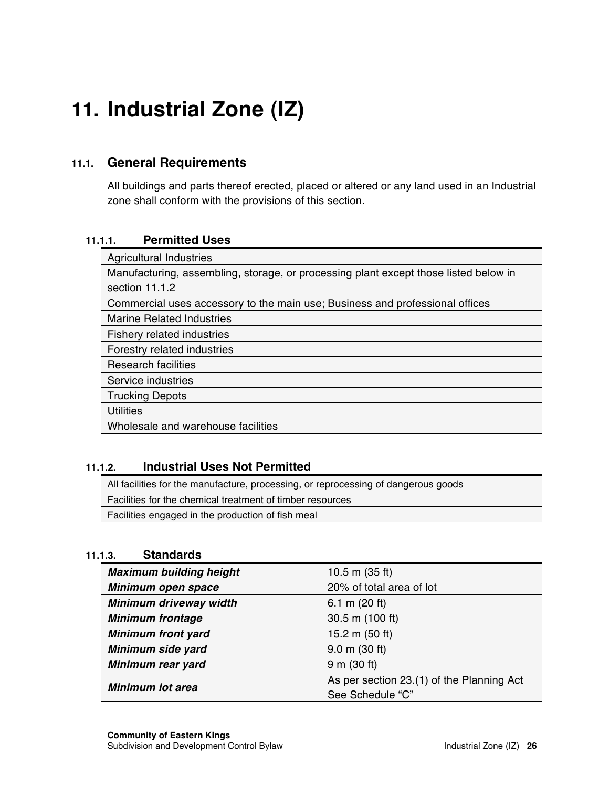# **11. Industrial Zone (IZ)**

### **11.1. General Requirements**

All buildings and parts thereof erected, placed or altered or any land used in an Industrial zone shall conform with the provisions of this section.

### **11.1.1. Permitted Uses**

| <b>Agricultural Industries</b>                                                       |  |
|--------------------------------------------------------------------------------------|--|
| Manufacturing, assembling, storage, or processing plant except those listed below in |  |
| section 11.1.2                                                                       |  |
| Commercial uses accessory to the main use; Business and professional offices         |  |
| <b>Marine Related Industries</b>                                                     |  |
| Fishery related industries                                                           |  |
| Forestry related industries                                                          |  |
| Research facilities                                                                  |  |
| Service industries                                                                   |  |
| <b>Trucking Depots</b>                                                               |  |
| <b>Utilities</b>                                                                     |  |
| Wholesale and warehouse facilities                                                   |  |

### **11.1.2. Industrial Uses Not Permitted**

All facilities for the manufacture, processing, or reprocessing of dangerous goods

Facilities for the chemical treatment of timber resources

Facilities engaged in the production of fish meal

### **11.1.3. Standards**

| <b>Maximum building height</b> | 10.5 m $(35 ft)$                          |  |
|--------------------------------|-------------------------------------------|--|
| Minimum open space             | 20% of total area of lot                  |  |
| Minimum driveway width         | 6.1 m $(20 ft)$                           |  |
| <b>Minimum frontage</b>        | 30.5 m (100 ft)                           |  |
| <b>Minimum front yard</b>      | 15.2 m $(50 ft)$                          |  |
| Minimum side yard              | $9.0 \text{ m}$ (30 ft)                   |  |
| Minimum rear yard              | 9 m (30 ft)                               |  |
| <b>Minimum lot area</b>        | As per section 23.(1) of the Planning Act |  |
|                                | See Schedule "C"                          |  |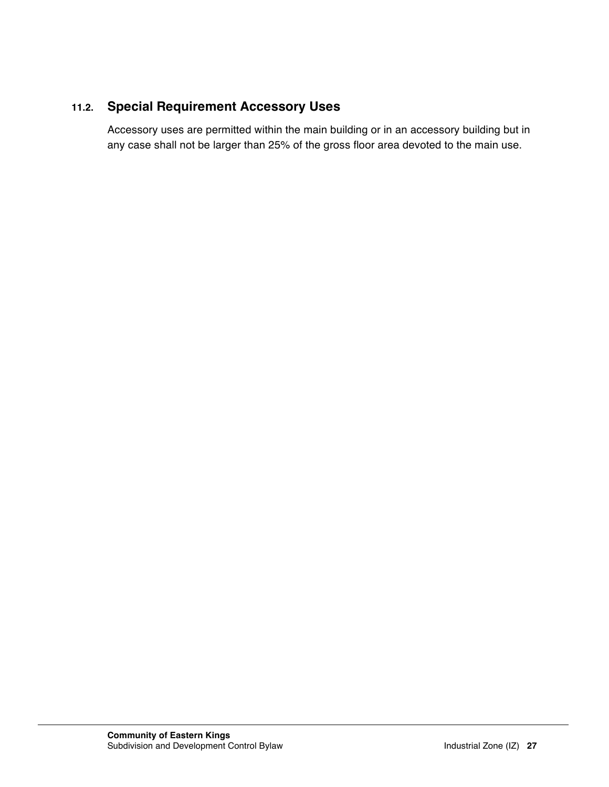# **11.2. Special Requirement Accessory Uses**

Accessory uses are permitted within the main building or in an accessory building but in any case shall not be larger than 25% of the gross floor area devoted to the main use.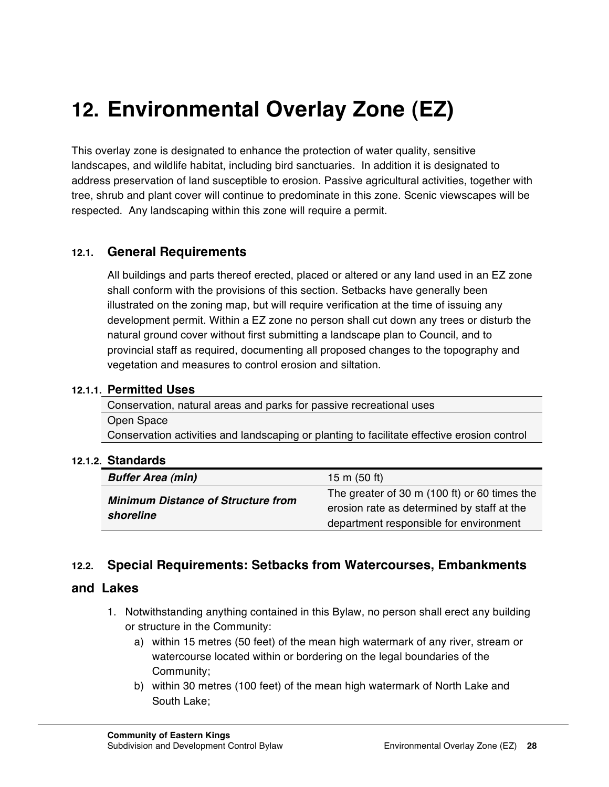# **12. Environmental Overlay Zone (EZ)**

This overlay zone is designated to enhance the protection of water quality, sensitive landscapes, and wildlife habitat, including bird sanctuaries. In addition it is designated to address preservation of land susceptible to erosion. Passive agricultural activities, together with tree, shrub and plant cover will continue to predominate in this zone. Scenic viewscapes will be respected. Any landscaping within this zone will require a permit.

### **12.1. General Requirements**

All buildings and parts thereof erected, placed or altered or any land used in an EZ zone shall conform with the provisions of this section. Setbacks have generally been illustrated on the zoning map, but will require verification at the time of issuing any development permit. Within a EZ zone no person shall cut down any trees or disturb the natural ground cover without first submitting a landscape plan to Council, and to provincial staff as required, documenting all proposed changes to the topography and vegetation and measures to control erosion and siltation.

#### **12.1.1. Permitted Uses**

Conservation, natural areas and parks for passive recreational uses Open Space Conservation activities and landscaping or planting to facilitate effective erosion control

#### **12.1.2. Standards**

| <b>Buffer Area (min)</b><br>15 m $(50 ft)$             |                                                                                                                                      |
|--------------------------------------------------------|--------------------------------------------------------------------------------------------------------------------------------------|
| <b>Minimum Distance of Structure from</b><br>shoreline | The greater of 30 m (100 ft) or 60 times the<br>erosion rate as determined by staff at the<br>department responsible for environment |

### **12.2. Special Requirements: Setbacks from Watercourses, Embankments**

#### **and Lakes**

- 1. Notwithstanding anything contained in this Bylaw, no person shall erect any building or structure in the Community:
	- a) within 15 metres (50 feet) of the mean high watermark of any river, stream or watercourse located within or bordering on the legal boundaries of the Community;
	- b) within 30 metres (100 feet) of the mean high watermark of North Lake and South Lake;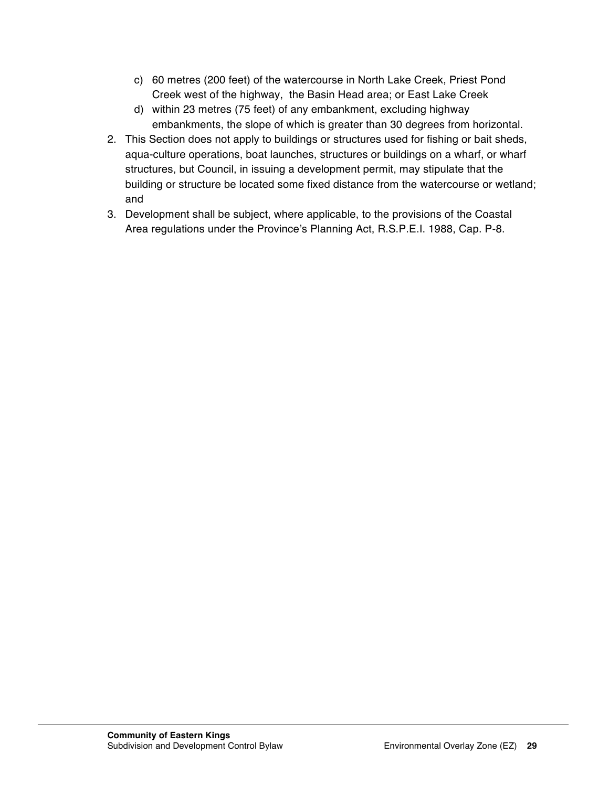- c) 60 metres (200 feet) of the watercourse in North Lake Creek, Priest Pond Creek west of the highway, the Basin Head area; or East Lake Creek
- d) within 23 metres (75 feet) of any embankment, excluding highway embankments, the slope of which is greater than 30 degrees from horizontal.
- 2. This Section does not apply to buildings or structures used for fishing or bait sheds, aqua-culture operations, boat launches, structures or buildings on a wharf, or wharf structures, but Council, in issuing a development permit, may stipulate that the building or structure be located some fixed distance from the watercourse or wetland; and
- 3. Development shall be subject, where applicable, to the provisions of the Coastal Area regulations under the Province's Planning Act, R.S.P.E.I. 1988, Cap. P-8.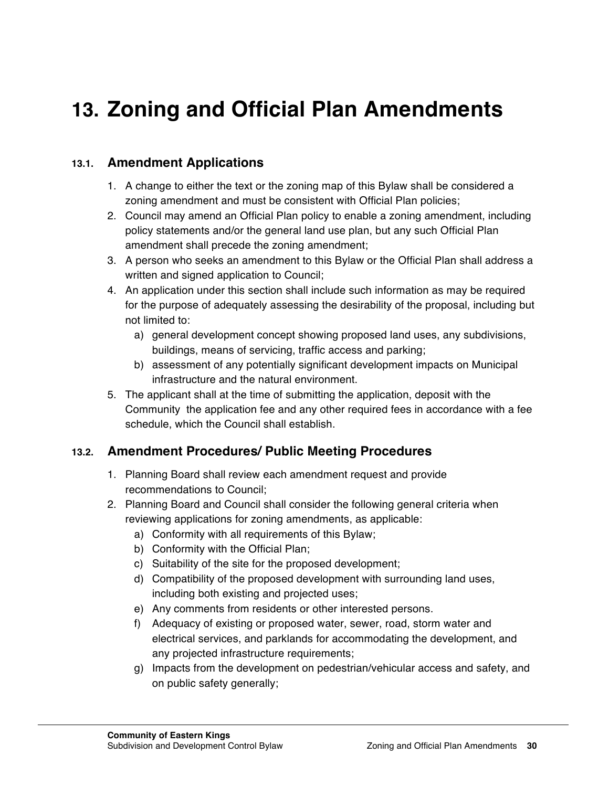# **13. Zoning and Official Plan Amendments**

# **13.1. Amendment Applications**

- 1. A change to either the text or the zoning map of this Bylaw shall be considered a zoning amendment and must be consistent with Official Plan policies;
- 2. Council may amend an Official Plan policy to enable a zoning amendment, including policy statements and/or the general land use plan, but any such Official Plan amendment shall precede the zoning amendment;
- 3. A person who seeks an amendment to this Bylaw or the Official Plan shall address a written and signed application to Council;
- 4. An application under this section shall include such information as may be required for the purpose of adequately assessing the desirability of the proposal, including but not limited to:
	- a) general development concept showing proposed land uses, any subdivisions, buildings, means of servicing, traffic access and parking;
	- b) assessment of any potentially significant development impacts on Municipal infrastructure and the natural environment.
- 5. The applicant shall at the time of submitting the application, deposit with the Community the application fee and any other required fees in accordance with a fee schedule, which the Council shall establish.

# **13.2. Amendment Procedures/ Public Meeting Procedures**

- 1. Planning Board shall review each amendment request and provide recommendations to Council;
- 2. Planning Board and Council shall consider the following general criteria when reviewing applications for zoning amendments, as applicable:
	- a) Conformity with all requirements of this Bylaw;
	- b) Conformity with the Official Plan;
	- c) Suitability of the site for the proposed development;
	- d) Compatibility of the proposed development with surrounding land uses, including both existing and projected uses;
	- e) Any comments from residents or other interested persons.
	- f) Adequacy of existing or proposed water, sewer, road, storm water and electrical services, and parklands for accommodating the development, and any projected infrastructure requirements;
	- g) Impacts from the development on pedestrian/vehicular access and safety, and on public safety generally;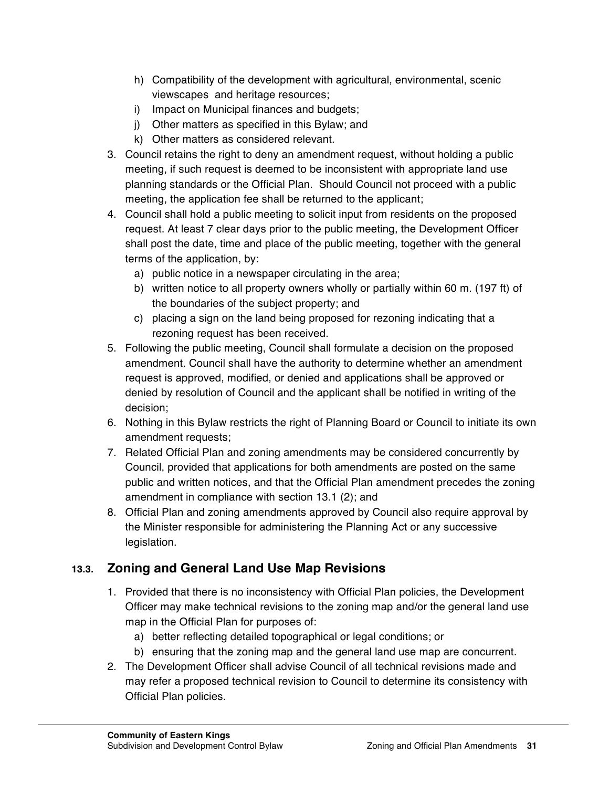- h) Compatibility of the development with agricultural, environmental, scenic viewscapes and heritage resources;
- i) Impact on Municipal finances and budgets;
- j) Other matters as specified in this Bylaw; and
- k) Other matters as considered relevant.
- 3. Council retains the right to deny an amendment request, without holding a public meeting, if such request is deemed to be inconsistent with appropriate land use planning standards or the Official Plan. Should Council not proceed with a public meeting, the application fee shall be returned to the applicant;
- 4. Council shall hold a public meeting to solicit input from residents on the proposed request. At least 7 clear days prior to the public meeting, the Development Officer shall post the date, time and place of the public meeting, together with the general terms of the application, by:
	- a) public notice in a newspaper circulating in the area;
	- b) written notice to all property owners wholly or partially within 60 m. (197 ft) of the boundaries of the subject property; and
	- c) placing a sign on the land being proposed for rezoning indicating that a rezoning request has been received.
- 5. Following the public meeting, Council shall formulate a decision on the proposed amendment. Council shall have the authority to determine whether an amendment request is approved, modified, or denied and applications shall be approved or denied by resolution of Council and the applicant shall be notified in writing of the decision;
- 6. Nothing in this Bylaw restricts the right of Planning Board or Council to initiate its own amendment requests;
- 7. Related Official Plan and zoning amendments may be considered concurrently by Council, provided that applications for both amendments are posted on the same public and written notices, and that the Official Plan amendment precedes the zoning amendment in compliance with section 13.1 (2); and
- 8. Official Plan and zoning amendments approved by Council also require approval by the Minister responsible for administering the Planning Act or any successive legislation.

# **13.3. Zoning and General Land Use Map Revisions**

- 1. Provided that there is no inconsistency with Official Plan policies, the Development Officer may make technical revisions to the zoning map and/or the general land use map in the Official Plan for purposes of:
	- a) better reflecting detailed topographical or legal conditions; or
	- b) ensuring that the zoning map and the general land use map are concurrent.
- 2. The Development Officer shall advise Council of all technical revisions made and may refer a proposed technical revision to Council to determine its consistency with Official Plan policies.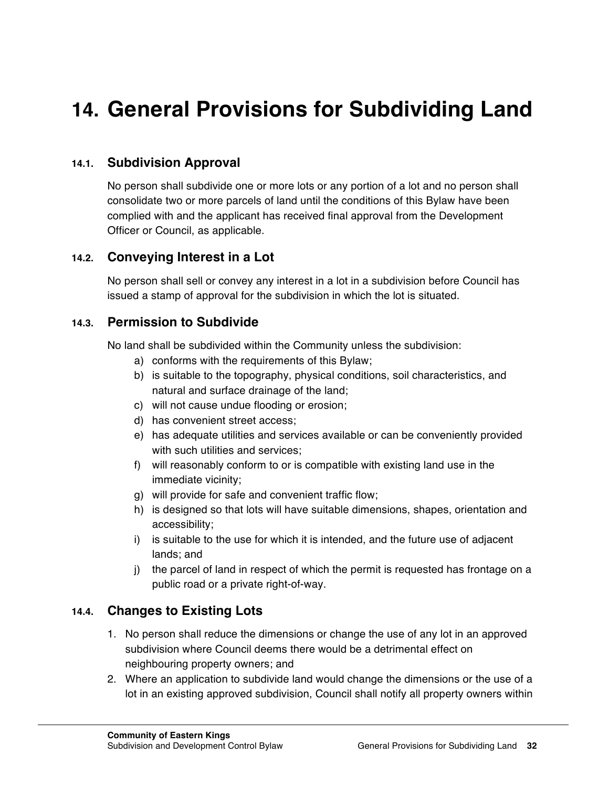# **14. General Provisions for Subdividing Land**

### **14.1. Subdivision Approval**

No person shall subdivide one or more lots or any portion of a lot and no person shall consolidate two or more parcels of land until the conditions of this Bylaw have been complied with and the applicant has received final approval from the Development Officer or Council, as applicable.

### **14.2. Conveying Interest in a Lot**

No person shall sell or convey any interest in a lot in a subdivision before Council has issued a stamp of approval for the subdivision in which the lot is situated.

### **14.3. Permission to Subdivide**

No land shall be subdivided within the Community unless the subdivision:

- a) conforms with the requirements of this Bylaw;
- b) is suitable to the topography, physical conditions, soil characteristics, and natural and surface drainage of the land;
- c) will not cause undue flooding or erosion;
- d) has convenient street access;
- e) has adequate utilities and services available or can be conveniently provided with such utilities and services;
- f) will reasonably conform to or is compatible with existing land use in the immediate vicinity;
- g) will provide for safe and convenient traffic flow;
- h) is designed so that lots will have suitable dimensions, shapes, orientation and accessibility;
- i) is suitable to the use for which it is intended, and the future use of adjacent lands; and
- j) the parcel of land in respect of which the permit is requested has frontage on a public road or a private right-of-way.

### **14.4. Changes to Existing Lots**

- 1. No person shall reduce the dimensions or change the use of any lot in an approved subdivision where Council deems there would be a detrimental effect on neighbouring property owners; and
- 2. Where an application to subdivide land would change the dimensions or the use of a lot in an existing approved subdivision, Council shall notify all property owners within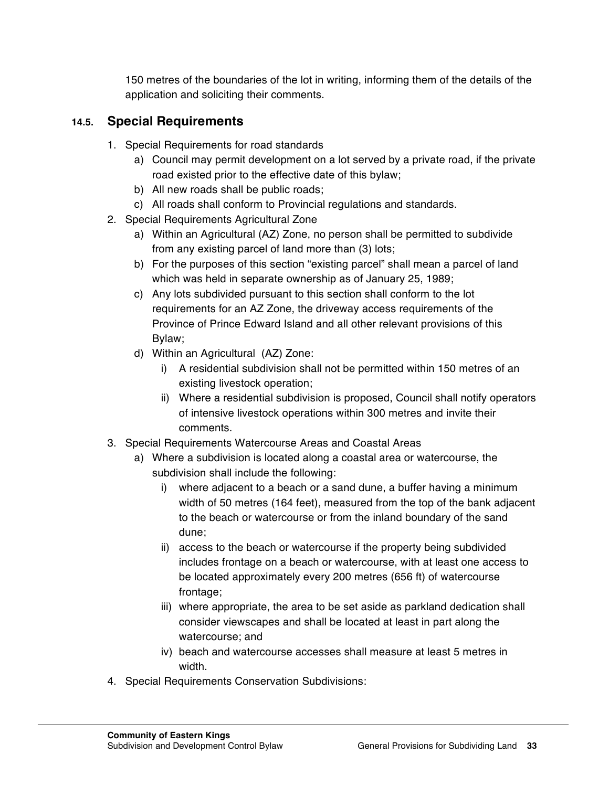150 metres of the boundaries of the lot in writing, informing them of the details of the application and soliciting their comments.

### **14.5. Special Requirements**

- 1. Special Requirements for road standards
	- a) Council may permit development on a lot served by a private road, if the private road existed prior to the effective date of this bylaw;
	- b) All new roads shall be public roads;
	- c) All roads shall conform to Provincial regulations and standards.
- 2. Special Requirements Agricultural Zone
	- a) Within an Agricultural (AZ) Zone, no person shall be permitted to subdivide from any existing parcel of land more than (3) lots;
	- b) For the purposes of this section "existing parcel" shall mean a parcel of land which was held in separate ownership as of January 25, 1989;
	- c) Any lots subdivided pursuant to this section shall conform to the lot requirements for an AZ Zone, the driveway access requirements of the Province of Prince Edward Island and all other relevant provisions of this Bylaw;
	- d) Within an Agricultural (AZ) Zone:
		- i) A residential subdivision shall not be permitted within 150 metres of an existing livestock operation;
		- ii) Where a residential subdivision is proposed, Council shall notify operators of intensive livestock operations within 300 metres and invite their comments.
- 3. Special Requirements Watercourse Areas and Coastal Areas
	- a) Where a subdivision is located along a coastal area or watercourse, the subdivision shall include the following:
		- i) where adjacent to a beach or a sand dune, a buffer having a minimum width of 50 metres (164 feet), measured from the top of the bank adjacent to the beach or watercourse or from the inland boundary of the sand dune;
		- ii) access to the beach or watercourse if the property being subdivided includes frontage on a beach or watercourse, with at least one access to be located approximately every 200 metres (656 ft) of watercourse frontage;
		- iii) where appropriate, the area to be set aside as parkland dedication shall consider viewscapes and shall be located at least in part along the watercourse; and
		- iv) beach and watercourse accesses shall measure at least 5 metres in width.
- 4. Special Requirements Conservation Subdivisions: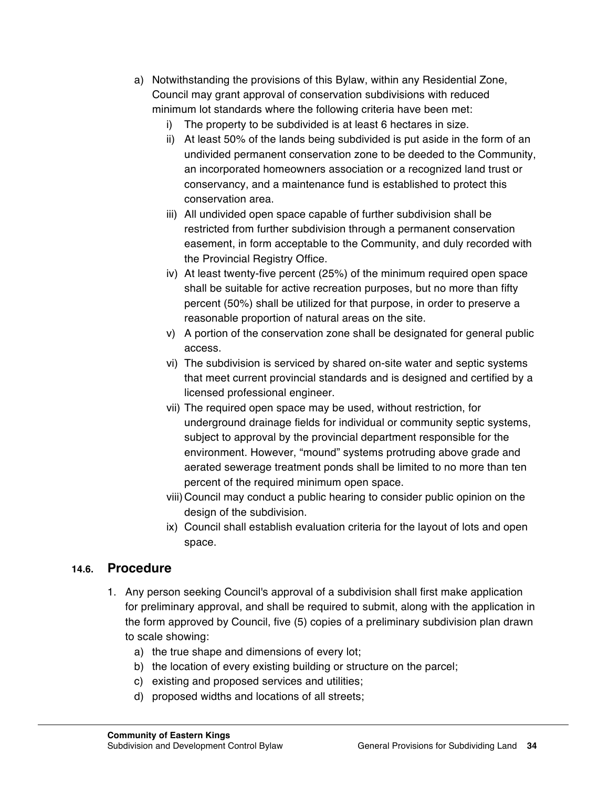- a) Notwithstanding the provisions of this Bylaw, within any Residential Zone, Council may grant approval of conservation subdivisions with reduced minimum lot standards where the following criteria have been met:
	- i) The property to be subdivided is at least 6 hectares in size.
	- ii) At least 50% of the lands being subdivided is put aside in the form of an undivided permanent conservation zone to be deeded to the Community, an incorporated homeowners association or a recognized land trust or conservancy, and a maintenance fund is established to protect this conservation area.
	- iii) All undivided open space capable of further subdivision shall be restricted from further subdivision through a permanent conservation easement, in form acceptable to the Community, and duly recorded with the Provincial Registry Office.
	- iv) At least twenty-five percent (25%) of the minimum required open space shall be suitable for active recreation purposes, but no more than fifty percent (50%) shall be utilized for that purpose, in order to preserve a reasonable proportion of natural areas on the site.
	- v) A portion of the conservation zone shall be designated for general public access.
	- vi) The subdivision is serviced by shared on-site water and septic systems that meet current provincial standards and is designed and certified by a licensed professional engineer.
	- vii) The required open space may be used, without restriction, for underground drainage fields for individual or community septic systems, subject to approval by the provincial department responsible for the environment. However, "mound" systems protruding above grade and aerated sewerage treatment ponds shall be limited to no more than ten percent of the required minimum open space.
	- viii) Council may conduct a public hearing to consider public opinion on the design of the subdivision.
	- ix) Council shall establish evaluation criteria for the layout of lots and open space.

### **14.6. Procedure**

- 1. Any person seeking Council's approval of a subdivision shall first make application for preliminary approval, and shall be required to submit, along with the application in the form approved by Council, five (5) copies of a preliminary subdivision plan drawn to scale showing:
	- a) the true shape and dimensions of every lot;
	- b) the location of every existing building or structure on the parcel;
	- c) existing and proposed services and utilities;
	- d) proposed widths and locations of all streets;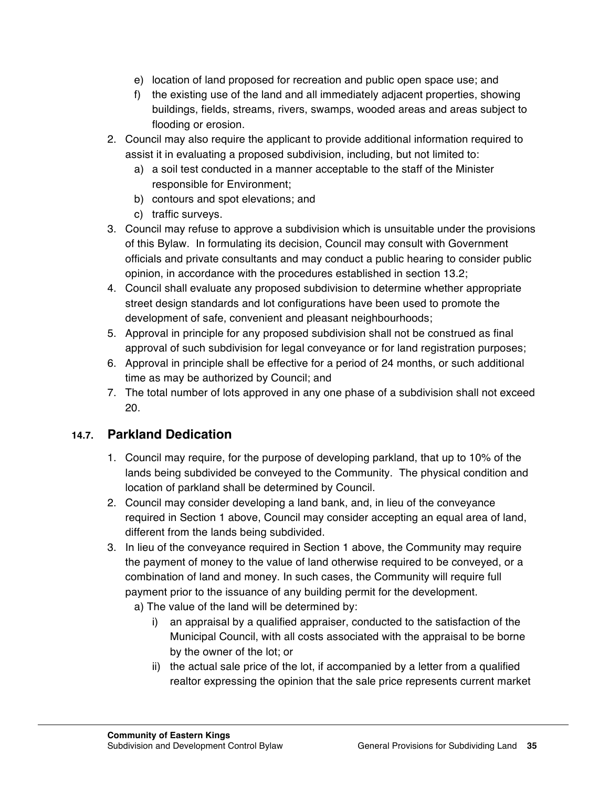- e) location of land proposed for recreation and public open space use; and
- f) the existing use of the land and all immediately adjacent properties, showing buildings, fields, streams, rivers, swamps, wooded areas and areas subject to flooding or erosion.
- 2. Council may also require the applicant to provide additional information required to assist it in evaluating a proposed subdivision, including, but not limited to:
	- a) a soil test conducted in a manner acceptable to the staff of the Minister responsible for Environment;
	- b) contours and spot elevations; and
	- c) traffic surveys.
- 3. Council may refuse to approve a subdivision which is unsuitable under the provisions of this Bylaw. In formulating its decision, Council may consult with Government officials and private consultants and may conduct a public hearing to consider public opinion, in accordance with the procedures established in section 13.2;
- 4. Council shall evaluate any proposed subdivision to determine whether appropriate street design standards and lot configurations have been used to promote the development of safe, convenient and pleasant neighbourhoods;
- 5. Approval in principle for any proposed subdivision shall not be construed as final approval of such subdivision for legal conveyance or for land registration purposes;
- 6. Approval in principle shall be effective for a period of 24 months, or such additional time as may be authorized by Council; and
- 7. The total number of lots approved in any one phase of a subdivision shall not exceed 20.

# **14.7. Parkland Dedication**

- 1. Council may require, for the purpose of developing parkland, that up to 10% of the lands being subdivided be conveyed to the Community. The physical condition and location of parkland shall be determined by Council.
- 2. Council may consider developing a land bank, and, in lieu of the conveyance required in Section 1 above, Council may consider accepting an equal area of land, different from the lands being subdivided.
- 3. In lieu of the conveyance required in Section 1 above, the Community may require the payment of money to the value of land otherwise required to be conveyed, or a combination of land and money. In such cases, the Community will require full payment prior to the issuance of any building permit for the development.
	- a) The value of the land will be determined by:
		- i) an appraisal by a qualified appraiser, conducted to the satisfaction of the Municipal Council, with all costs associated with the appraisal to be borne by the owner of the lot; or
		- ii) the actual sale price of the lot, if accompanied by a letter from a qualified realtor expressing the opinion that the sale price represents current market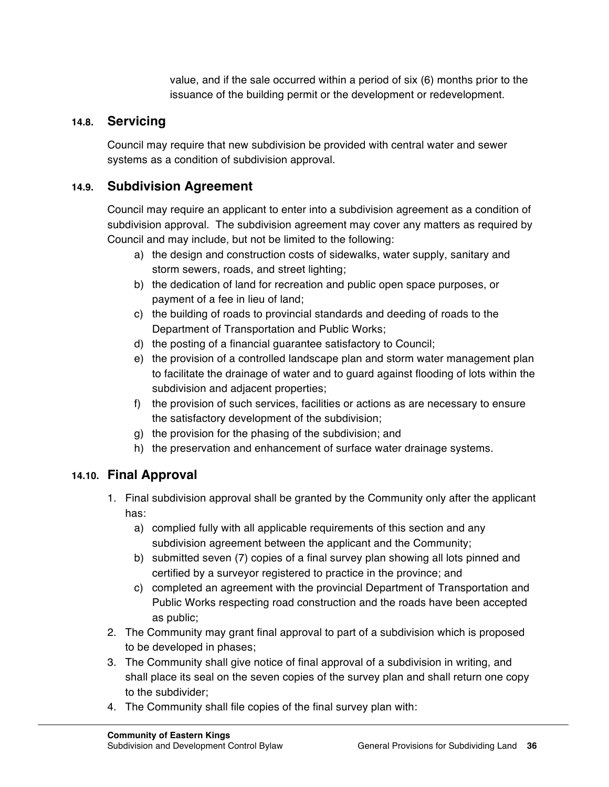value, and if the sale occurred within a period of six (6) months prior to the issuance of the building permit or the development or redevelopment.

### **14.8. Servicing**

Council may require that new subdivision be provided with central water and sewer systems as a condition of subdivision approval.

# **14.9. Subdivision Agreement**

Council may require an applicant to enter into a subdivision agreement as a condition of subdivision approval. The subdivision agreement may cover any matters as required by Council and may include, but not be limited to the following:

- a) the design and construction costs of sidewalks, water supply, sanitary and storm sewers, roads, and street lighting;
- b) the dedication of land for recreation and public open space purposes, or payment of a fee in lieu of land;
- c) the building of roads to provincial standards and deeding of roads to the Department of Transportation and Public Works;
- d) the posting of a financial guarantee satisfactory to Council;
- e) the provision of a controlled landscape plan and storm water management plan to facilitate the drainage of water and to guard against flooding of lots within the subdivision and adjacent properties;
- f) the provision of such services, facilities or actions as are necessary to ensure the satisfactory development of the subdivision;
- g) the provision for the phasing of the subdivision; and
- h) the preservation and enhancement of surface water drainage systems.

# **14.10. Final Approval**

- 1. Final subdivision approval shall be granted by the Community only after the applicant has:
	- a) complied fully with all applicable requirements of this section and any subdivision agreement between the applicant and the Community;
	- b) submitted seven (7) copies of a final survey plan showing all lots pinned and certified by a surveyor registered to practice in the province; and
	- c) completed an agreement with the provincial Department of Transportation and Public Works respecting road construction and the roads have been accepted as public;
- 2. The Community may grant final approval to part of a subdivision which is proposed to be developed in phases;
- 3. The Community shall give notice of final approval of a subdivision in writing, and shall place its seal on the seven copies of the survey plan and shall return one copy to the subdivider;
- 4. The Community shall file copies of the final survey plan with: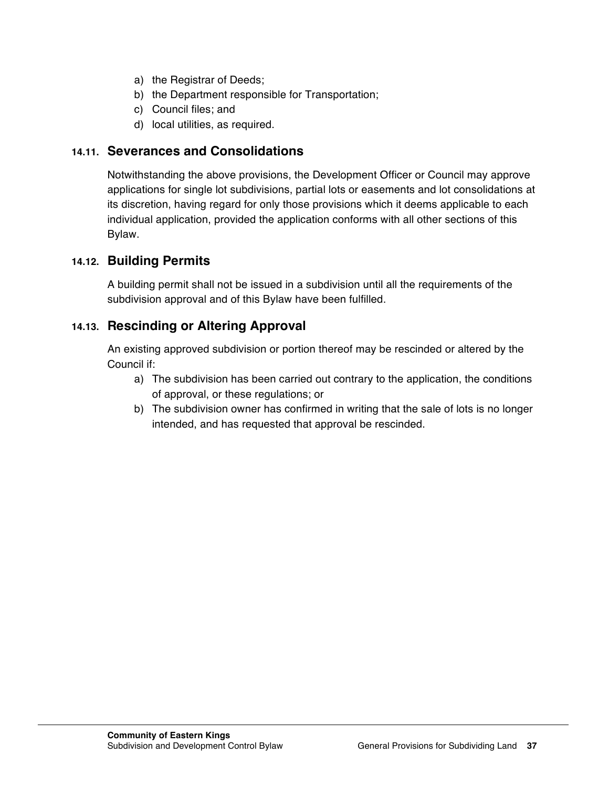- a) the Registrar of Deeds;
- b) the Department responsible for Transportation;
- c) Council files; and
- d) local utilities, as required.

### **14.11. Severances and Consolidations**

Notwithstanding the above provisions, the Development Officer or Council may approve applications for single lot subdivisions, partial lots or easements and lot consolidations at its discretion, having regard for only those provisions which it deems applicable to each individual application, provided the application conforms with all other sections of this Bylaw.

### **14.12. Building Permits**

A building permit shall not be issued in a subdivision until all the requirements of the subdivision approval and of this Bylaw have been fulfilled.

### **14.13. Rescinding or Altering Approval**

An existing approved subdivision or portion thereof may be rescinded or altered by the Council if:

- a) The subdivision has been carried out contrary to the application, the conditions of approval, or these regulations; or
- b) The subdivision owner has confirmed in writing that the sale of lots is no longer intended, and has requested that approval be rescinded.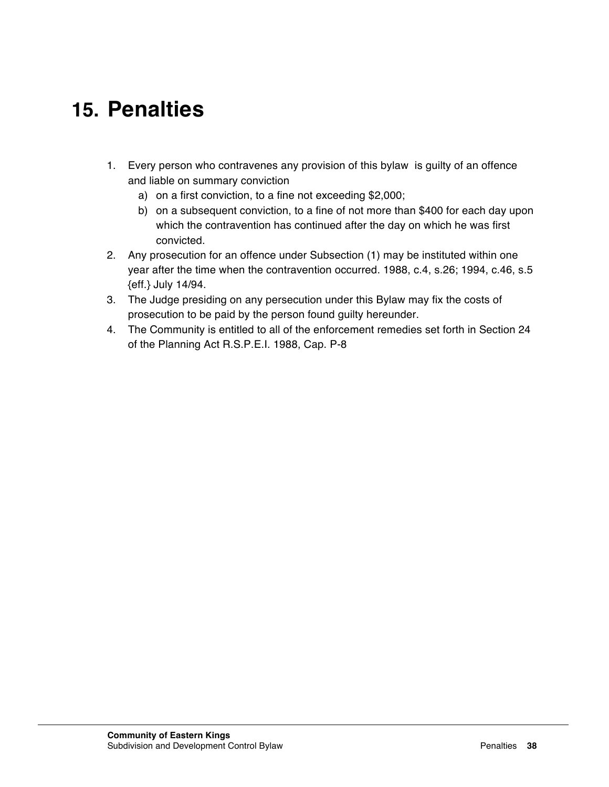# **15. Penalties**

- 1. Every person who contravenes any provision of this bylaw is guilty of an offence and liable on summary conviction
	- a) on a first conviction, to a fine not exceeding \$2,000;
	- b) on a subsequent conviction, to a fine of not more than \$400 for each day upon which the contravention has continued after the day on which he was first convicted.
- 2. Any prosecution for an offence under Subsection (1) may be instituted within one year after the time when the contravention occurred. 1988, c.4, s.26; 1994, c.46, s.5 {eff.} July 14/94.
- 3. The Judge presiding on any persecution under this Bylaw may fix the costs of prosecution to be paid by the person found guilty hereunder.
- 4. The Community is entitled to all of the enforcement remedies set forth in Section 24 of the Planning Act R.S.P.E.I. 1988, Cap. P-8